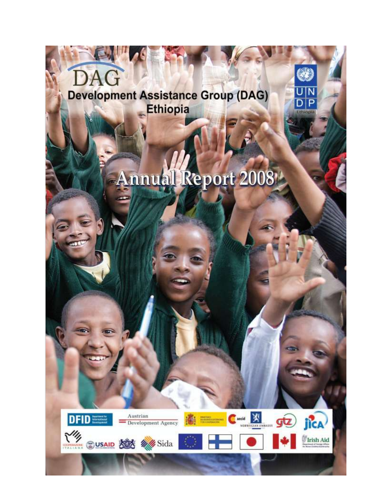

# **Annual Report 2008**

 $\overline{P}$ 

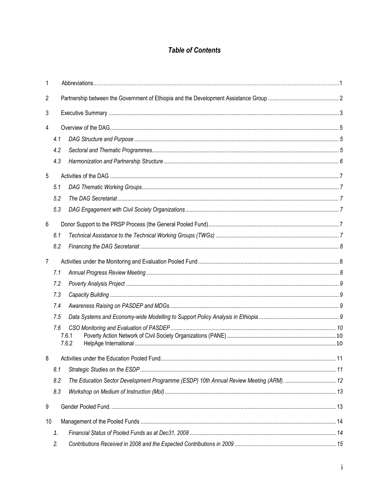# **Table of Contents**

| 1  |     |                                                                                         |  |  |  |
|----|-----|-----------------------------------------------------------------------------------------|--|--|--|
| 2  |     |                                                                                         |  |  |  |
| 3  |     |                                                                                         |  |  |  |
| 4  |     |                                                                                         |  |  |  |
|    | 4.1 |                                                                                         |  |  |  |
|    | 4.2 |                                                                                         |  |  |  |
|    | 4.3 |                                                                                         |  |  |  |
| 5  |     |                                                                                         |  |  |  |
|    | 5.1 |                                                                                         |  |  |  |
|    | 5.2 |                                                                                         |  |  |  |
|    | 5.3 |                                                                                         |  |  |  |
| 6  |     |                                                                                         |  |  |  |
|    | 6.1 |                                                                                         |  |  |  |
|    | 6.2 |                                                                                         |  |  |  |
| 7  |     |                                                                                         |  |  |  |
|    | 7.1 |                                                                                         |  |  |  |
|    | 7.2 |                                                                                         |  |  |  |
|    | 7.3 |                                                                                         |  |  |  |
|    | 7.4 |                                                                                         |  |  |  |
|    | 7.5 |                                                                                         |  |  |  |
|    | 7.6 |                                                                                         |  |  |  |
|    |     | 7.6.1<br>7.6.2                                                                          |  |  |  |
| 8  |     |                                                                                         |  |  |  |
|    | 8.1 |                                                                                         |  |  |  |
|    | 8.2 | The Education Sector Development Programme (ESDP) 10th Annual Review Meeting (ARM).  12 |  |  |  |
|    | 8.3 |                                                                                         |  |  |  |
| 9  |     |                                                                                         |  |  |  |
| 10 |     |                                                                                         |  |  |  |
|    | 1.  |                                                                                         |  |  |  |
|    | 2.  |                                                                                         |  |  |  |
|    |     |                                                                                         |  |  |  |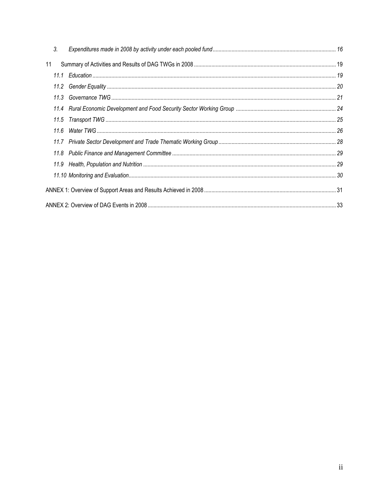| 3.   |  |  |  |  |  |
|------|--|--|--|--|--|
| 11   |  |  |  |  |  |
|      |  |  |  |  |  |
|      |  |  |  |  |  |
|      |  |  |  |  |  |
|      |  |  |  |  |  |
| 11.5 |  |  |  |  |  |
|      |  |  |  |  |  |
|      |  |  |  |  |  |
|      |  |  |  |  |  |
|      |  |  |  |  |  |
|      |  |  |  |  |  |
|      |  |  |  |  |  |
|      |  |  |  |  |  |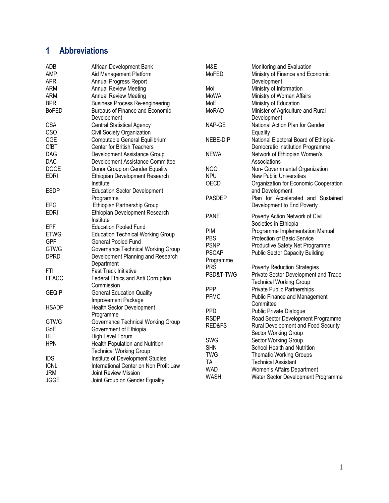# <span id="page-3-0"></span>**1 Abbreviations**

| <b>ADB</b>   | African Development Bank                 | M&E           | Monitoring and Evaluation              |
|--------------|------------------------------------------|---------------|----------------------------------------|
| AMP          | Aid Management Platform                  | MoFED         | Ministry of Finance and Economic       |
| <b>APR</b>   | Annual Progress Report                   |               | Development                            |
| <b>ARM</b>   | <b>Annual Review Meeting</b>             | Mol           | Ministry of Information                |
| <b>ARM</b>   | <b>Annual Review Meeting</b>             | MoWA          | Ministry of Woman Affairs              |
| <b>BPR</b>   | <b>Business Process Re-engineering</b>   | MoE           | Ministry of Education                  |
| <b>BoFED</b> | Bureaus of Finance and Economic          | MoRAD         | Minister of Agriculture and Rural      |
|              | Development                              |               | Development                            |
| <b>CSA</b>   | <b>Central Statistical Agency</b>        | NAP-GE        | National Action Plan for Gender        |
| CSO          | Civil Society Organization               |               | Equality                               |
| CGE          | Computable General Equilibrium           | NEBE-DIP      | National Electoral Board of Ethiopia-  |
| <b>CfBT</b>  | <b>Center for British Teachers</b>       |               | Democratic Institution Programme       |
| <b>DAG</b>   | Development Assistance Group             | <b>NEWA</b>   | Network of Ethiopian Women's           |
| <b>DAC</b>   | Development Assistance Committee         |               | Associations                           |
| <b>DGGE</b>  | Donor Group on Gender Equality           | NGO           | Non- Governmental Organization         |
| <b>EDRI</b>  | Ethiopian Development Research           | <b>NPU</b>    | <b>New Public Universities</b>         |
|              | Institute                                | <b>OECD</b>   | Organization for Economic Cooperation  |
| <b>ESDP</b>  | <b>Education Sector Development</b>      |               | and Development                        |
|              | Programme                                | <b>PASDEP</b> | Plan for Accelerated and Sustained     |
| <b>EPG</b>   | Ethiopian Partnership Group              |               | Development to End Poverty             |
| <b>EDRI</b>  | Ethiopian Development Research           |               |                                        |
|              | Institute                                | <b>PANE</b>   | Poverty Action Network of Civil        |
| EPF          | <b>Education Pooled Fund</b>             |               | Societies in Ethiopia                  |
| <b>ETWG</b>  | <b>Education Technical Working Group</b> | <b>PIM</b>    | Programme Implementation Manual        |
| <b>GPF</b>   | <b>General Pooled Fund</b>               | <b>PBS</b>    | Protection of Basic Service            |
| <b>GTWG</b>  | Governance Technical Working Group       | <b>PSNP</b>   | Productive Safety Net Programme        |
| <b>DPRD</b>  | Development Planning and Research        | <b>PSCAP</b>  | <b>Public Sector Capacity Building</b> |
|              | Department                               | Programme     |                                        |
| FTI          | <b>Fast Track Initiative</b>             | <b>PRS</b>    | <b>Poverty Reduction Strategies</b>    |
| <b>FEACC</b> | Federal Ethics and Anti Corruption       | PSD&T-TWG     | Private Sector Development and Trade   |
|              | Commission                               |               | <b>Technical Working Group</b>         |
| <b>GEQIP</b> | <b>General Education Quality</b>         | PPP           | Private Public Partnerships            |
|              | Improvement Package                      | <b>PFMC</b>   | <b>Public Finance and Management</b>   |
| <b>HSADP</b> | <b>Health Sector Development</b>         |               | Committee                              |
|              | Programme                                | <b>PPD</b>    | Public Private Dialogue                |
| <b>GTWG</b>  | Governance Technical Working Group       | <b>RSDP</b>   | Road Sector Development Programme      |
| GoE          | Government of Ethiopia                   | RED&FS        | Rural Development and Food Security    |
| <b>HLF</b>   | High Level Forum                         |               | Sector Working Group                   |
| <b>HPN</b>   | Health Population and Nutrition          | <b>SWG</b>    | Sector Working Group                   |
|              | <b>Technical Working Group</b>           | <b>SHN</b>    | School Health and Nutrition            |
|              |                                          | <b>TWG</b>    | <b>Thematic Working Groups</b>         |
| <b>IDS</b>   | Institute of Development Studies         | <b>TA</b>     | <b>Technical Assistant</b>             |
| <b>ICNL</b>  | International Center on Non Profit Law   | <b>WAD</b>    | Women's Affairs Department             |
| <b>JRM</b>   | Joint Review Mission                     | <b>WASH</b>   | Water Sector Development Programme     |
| <b>JGGE</b>  | Joint Group on Gender Equality           |               |                                        |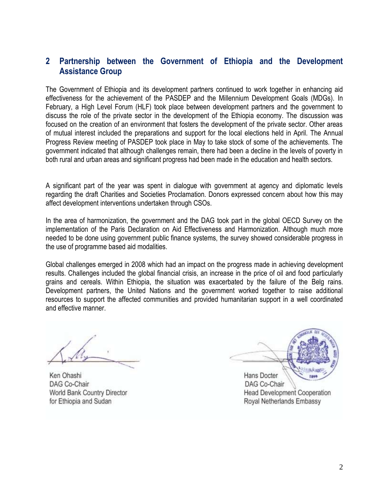### **2 Partnership between the Government of Ethiopia and the Development Assistance Group**

The Government of Ethiopia and its development partners continued to work together in enhancing aid effectiveness for the achievement of the PASDEP and the Millennium Development Goals (MDGs). In February, a High Level Forum (HLF) took place between development partners and the government to discuss the role of the private sector in the development of the Ethiopia economy. The discussion was focused on the creation of an environment that fosters the development of the private sector. Other areas of mutual interest included the preparations and support for the local elections held in April. The Annual Progress Review meeting of PASDEP took place in May to take stock of some of the achievements. The government indicated that although challenges remain, there had been a decline in the levels of poverty in both rural and urban areas and significant progress had been made in the education and health sectors.

A significant part of the year was spent in dialogue with government at agency and diplomatic levels regarding the draft Charities and Societies Proclamation. Donors expressed concern about how this may affect development interventions undertaken through CSOs.

In the area of harmonization, the government and the DAG took part in the global OECD Survey on the implementation of the Paris Declaration on Aid Effectiveness and Harmonization. Although much more needed to be done using government public finance systems, the survey showed considerable progress in the use of programme based aid modalities.

Global challenges emerged in 2008 which had an impact on the progress made in achieving development results. Challenges included the global financial crisis, an increase in the price of oil and food particularly grains and cereals. Within Ethiopia, the situation was exacerbated by the failure of the Belg rains. Development partners, the United Nations and the government worked together to raise additional resources to support the affected communities and provided humanitarian support in a well coordinated and effective manner.

Ken Ohashi DAG Co-Chair World Bank Country Director for Ethiopia and Sudan

Hans Docter The DAG Co-Chair Head Development Cooperation Royal Netherlands Embassy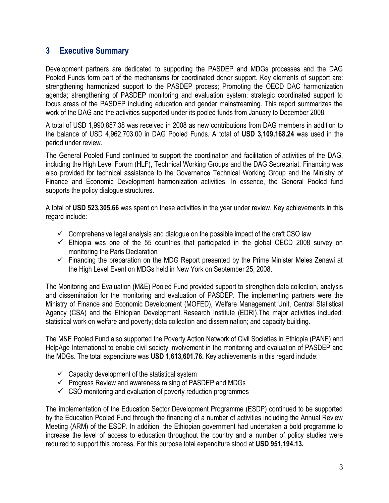# <span id="page-5-0"></span>**3 Executive Summary**

Development partners are dedicated to supporting the PASDEP and MDGs processes and the DAG Pooled Funds form part of the mechanisms for coordinated donor support. Key elements of support are: strengthening harmonized support to the PASDEP process; Promoting the OECD DAC harmonization agenda; strengthening of PASDEP monitoring and evaluation system; strategic coordinated support to focus areas of the PASDEP including education and gender mainstreaming. This report summarizes the work of the DAG and the activities supported under its pooled funds from January to December 2008.

A total of USD 1,990,857.38 was received in 2008 as new contributions from DAG members in addition to the balance of USD 4,962,703.00 in DAG Pooled Funds. A total of **USD 3,109,168.24** was used in the period under review.

The General Pooled Fund continued to support the coordination and facilitation of activities of the DAG, including the High Level Forum (HLF), Technical Working Groups and the DAG Secretariat. Financing was also provided for technical assistance to the Governance Technical Working Group and the Ministry of Finance and Economic Development harmonization activities. In essence, the General Pooled fund supports the policy dialogue structures.

A total of **USD 523,305.66** was spent on these activities in the year under review. Key achievements in this regard include:

- $\checkmark$  Comprehensive legal analysis and dialogue on the possible impact of the draft CSO law
- $\checkmark$  Ethiopia was one of the 55 countries that participated in the global OECD 2008 survey on monitoring the Paris Declaration
- $\checkmark$  Financing the preparation on the MDG Report presented by the Prime Minister Meles Zenawi at the High Level Event on MDGs held in New York on September 25, 2008.

The Monitoring and Evaluation (M&E) Pooled Fund provided support to strengthen data collection, analysis and dissemination for the monitoring and evaluation of PASDEP. The implementing partners were the Ministry of Finance and Economic Development (MOFED), Welfare Management Unit, Central Statistical Agency (CSA) and the Ethiopian Development Research Institute (EDRI).The major activities included: statistical work on welfare and poverty; data collection and dissemination; and capacity building.

The M&E Pooled Fund also supported the Poverty Action Network of Civil Societies in Ethiopia (PANE) and HelpAge International to enable civil society involvement in the monitoring and evaluation of PASDEP and the MDGs. The total expenditure was **USD 1,613,601.76.** Key achievements in this regard include:

- $\checkmark$  Capacity development of the statistical system
- $\checkmark$  Progress Review and awareness raising of PASDEP and MDGs
- $\checkmark$  CSO monitoring and evaluation of poverty reduction programmes

The implementation of the Education Sector Development Programme (ESDP) continued to be supported by the Education Pooled Fund through the financing of a number of activities including the Annual Review Meeting (ARM) of the ESDP. In addition, the Ethiopian government had undertaken a bold programme to increase the level of access to education throughout the country and a number of policy studies were required to support this process. For this purpose total expenditure stood at **USD 951,194.13.**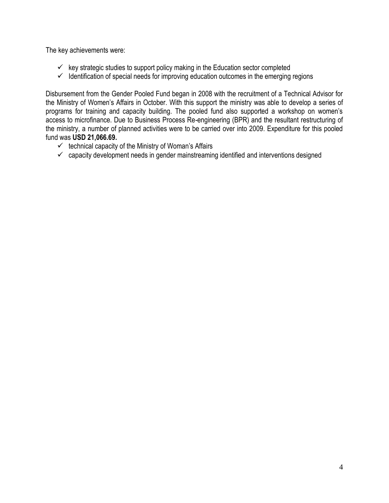The key achievements were:

- $\checkmark$  key strategic studies to support policy making in the Education sector completed
- $\checkmark$  Identification of special needs for improving education outcomes in the emerging regions

Disbursement from the Gender Pooled Fund began in 2008 with the recruitment of a Technical Advisor for the Ministry of Women"s Affairs in October. With this support the ministry was able to develop a series of programs for training and capacity building. The pooled fund also supported a workshop on women"s access to microfinance. Due to Business Process Re-engineering (BPR) and the resultant restructuring of the ministry, a number of planned activities were to be carried over into 2009. Expenditure for this pooled fund was **USD 21,066.69.**

- $\checkmark$  technical capacity of the Ministry of Woman's Affairs
- $\checkmark$  capacity development needs in gender mainstreaming identified and interventions designed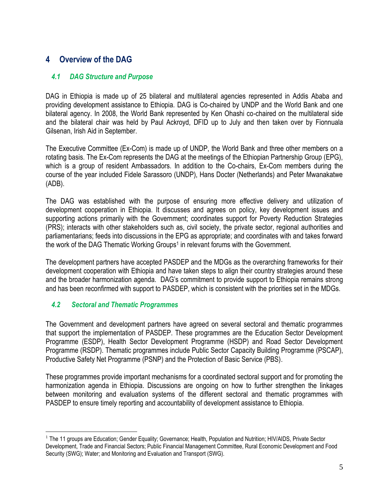# <span id="page-7-1"></span><span id="page-7-0"></span>**4 Overview of the DAG**

#### *4.1 DAG Structure and Purpose*

DAG in Ethiopia is made up of 25 bilateral and multilateral agencies represented in Addis Ababa and providing development assistance to Ethiopia. DAG is Co-chaired by UNDP and the World Bank and one bilateral agency. In 2008, the World Bank represented by Ken Ohashi co-chaired on the multilateral side and the bilateral chair was held by Paul Ackroyd, DFID up to July and then taken over by Fionnuala Gilsenan, Irish Aid in September.

The Executive Committee (Ex-Com) is made up of UNDP, the World Bank and three other members on a rotating basis. The Ex-Com represents the DAG at the meetings of the Ethiopian Partnership Group (EPG), which is a group of resident Ambassadors. In addition to the Co-chairs, Ex-Com members during the course of the year included Fidele Sarassoro (UNDP), Hans Docter (Netherlands) and Peter Mwanakatwe (ADB).

The DAG was established with the purpose of ensuring more effective delivery and utilization of development cooperation in Ethiopia. It discusses and agrees on policy, key development issues and supporting actions primarily with the Government; coordinates support for Poverty Reduction Strategies (PRS); interacts with other stakeholders such as, civil society, the private sector, regional authorities and parliamentarians; feeds into discussions in the EPG as appropriate; and coordinates with and takes forward the work of the DAG Thematic Working Groups<sup>1</sup> in relevant forums with the Government.

The development partners have accepted PASDEP and the MDGs as the overarching frameworks for their development cooperation with Ethiopia and have taken steps to align their country strategies around these and the broader harmonization agenda. DAG"s commitment to provide support to Ethiopia remains strong and has been reconfirmed with support to PASDEP, which is consistent with the priorities set in the MDGs.

#### <span id="page-7-2"></span>*4.2 Sectoral and Thematic Programmes*

The Government and development partners have agreed on several sectoral and thematic programmes that support the implementation of PASDEP. These programmes are the Education Sector Development Programme (ESDP), Health Sector Development Programme (HSDP) and Road Sector Development Programme (RSDP). Thematic programmes include Public Sector Capacity Building Programme (PSCAP), Productive Safety Net Programme (PSNP) and the Protection of Basic Service (PBS).

These programmes provide important mechanisms for a coordinated sectoral support and for promoting the harmonization agenda in Ethiopia. Discussions are ongoing on how to further strengthen the linkages between monitoring and evaluation systems of the different sectoral and thematic programmes with PASDEP to ensure timely reporting and accountability of development assistance to Ethiopia.

 $\overline{a}$ <sup>1</sup> The 11 groups are Education; Gender Equality; Governance; Health, Population and Nutrition; HIV/AIDS, Private Sector Development, Trade and Financial Sectors; Public Financial Management Committee, Rural Economic Development and Food Security (SWG); Water; and Monitoring and Evaluation and Transport (SWG).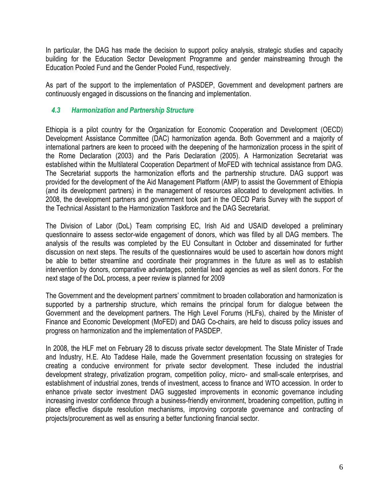In particular, the DAG has made the decision to support policy analysis, strategic studies and capacity building for the Education Sector Development Programme and gender mainstreaming through the Education Pooled Fund and the Gender Pooled Fund, respectively.

As part of the support to the implementation of PASDEP, Government and development partners are continuously engaged in discussions on the financing and implementation.

#### <span id="page-8-0"></span>*4.3 Harmonization and Partnership Structure*

Ethiopia is a pilot country for the Organization for Economic Cooperation and Development (OECD) Development Assistance Committee (DAC) harmonization agenda. Both Government and a majority of international partners are keen to proceed with the deepening of the harmonization process in the spirit of the Rome Declaration (2003) and the Paris Declaration (2005). A Harmonization Secretariat was established within the Multilateral Cooperation Department of MoFED with technical assistance from DAG. The Secretariat supports the harmonization efforts and the partnership structure. DAG support was provided for the development of the Aid Management Platform (AMP) to assist the Government of Ethiopia (and its development partners) in the management of resources allocated to development activities. In 2008, the development partners and government took part in the OECD Paris Survey with the support of the Technical Assistant to the Harmonization Taskforce and the DAG Secretariat.

The Division of Labor (DoL) Team comprising EC, Irish Aid and USAID developed a preliminary questionnaire to assess sector-wide engagement of donors, which was filled by all DAG members. The analysis of the results was completed by the EU Consultant in October and disseminated for further discussion on next steps. The results of the questionnaires would be used to ascertain how donors might be able to better streamline and coordinate their programmes in the future as well as to establish intervention by donors, comparative advantages, potential lead agencies as well as silent donors. For the next stage of the DoL process, a peer review is planned for 2009

The Government and the development partners" commitment to broaden collaboration and harmonization is supported by a partnership structure, which remains the principal forum for dialogue between the Government and the development partners. The High Level Forums (HLFs), chaired by the Minister of Finance and Economic Development (MoFED) and DAG Co-chairs, are held to discuss policy issues and progress on harmonization and the implementation of PASDEP.

In 2008, the HLF met on February 28 to discuss private sector development. The State Minister of Trade and Industry, H.E. Ato Taddese Haile, made the Government presentation focussing on strategies for creating a conducive environment for private sector development. These included the industrial development strategy, privatization program, competition policy, micro- and small-scale enterprises, and establishment of industrial zones, trends of investment, access to finance and WTO accession. In order to enhance private sector investment DAG suggested improvements in economic governance including increasing investor confidence through a business-friendly environment, broadening competition, putting in place effective dispute resolution mechanisms, improving corporate governance and contracting of projects/procurement as well as ensuring a better functioning financial sector.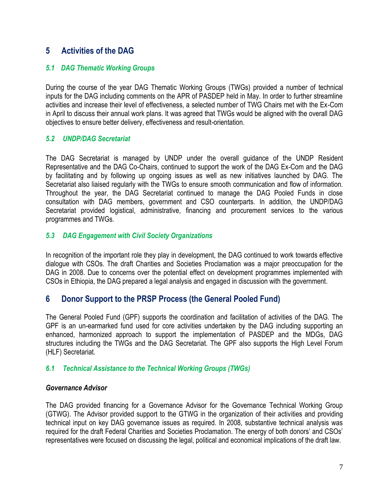# <span id="page-9-0"></span>**5 Activities of the DAG**

#### <span id="page-9-1"></span>*5.1 DAG Thematic Working Groups*

During the course of the year DAG Thematic Working Groups (TWGs) provided a number of technical inputs for the DAG including comments on the APR of PASDEP held in May. In order to further streamline activities and increase their level of effectiveness, a selected number of TWG Chairs met with the Ex-Com in April to discuss their annual work plans. It was agreed that TWGs would be aligned with the overall DAG objectives to ensure better delivery, effectiveness and result-orientation.

#### <span id="page-9-2"></span>*5.2 UNDP/DAG Secretariat*

The DAG Secretariat is managed by UNDP under the overall guidance of the UNDP Resident Representative and the DAG Co-Chairs, continued to support the work of the DAG Ex-Com and the DAG by facilitating and by following up ongoing issues as well as new initiatives launched by DAG. The Secretariat also liaised regularly with the TWGs to ensure smooth communication and flow of information. Throughout the year, the DAG Secretariat continued to manage the DAG Pooled Funds in close consultation with DAG members, government and CSO counterparts. In addition, the UNDP/DAG Secretariat provided logistical, administrative, financing and procurement services to the various programmes and TWGs.

#### <span id="page-9-3"></span>*5.3 DAG Engagement with Civil Society Organizations*

In recognition of the important role they play in development, the DAG continued to work towards effective dialogue with CSOs. The draft Charities and Societies Proclamation was a major preoccupation for the DAG in 2008. Due to concerns over the potential effect on development programmes implemented with CSOs in Ethiopia, the DAG prepared a legal analysis and engaged in discussion with the government.

# <span id="page-9-4"></span>**6 Donor Support to the PRSP Process (the General Pooled Fund)**

The General Pooled Fund (GPF) supports the coordination and facilitation of activities of the DAG. The GPF is an un-earmarked fund used for core activities undertaken by the DAG including supporting an enhanced, harmonized approach to support the implementation of PASDEP and the MDGs, DAG structures including the TWGs and the DAG Secretariat. The GPF also supports the High Level Forum (HLF) Secretariat.

#### <span id="page-9-5"></span>*6.1 Technical Assistance to the Technical Working Groups (TWGs)*

#### *Governance Advisor*

The DAG provided financing for a Governance Advisor for the Governance Technical Working Group (GTWG). The Advisor provided support to the GTWG in the organization of their activities and providing technical input on key DAG governance issues as required. In 2008, substantive technical analysis was required for the draft Federal Charities and Societies Proclamation. The energy of both donors' and CSOs' representatives were focused on discussing the legal, political and economical implications of the draft law.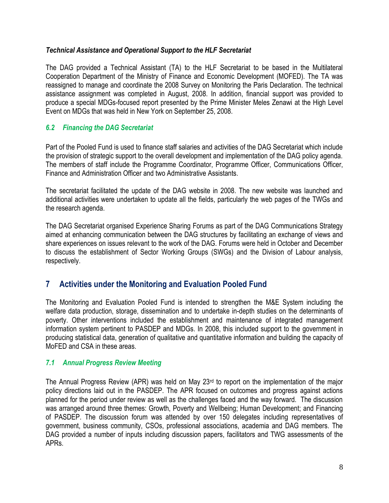#### *Technical Assistance and Operational Support to the HLF Secretariat*

The DAG provided a Technical Assistant (TA) to the HLF Secretariat to be based in the Multilateral Cooperation Department of the Ministry of Finance and Economic Development (MOFED). The TA was reassigned to manage and coordinate the 2008 Survey on Monitoring the Paris Declaration. The technical assistance assignment was completed in August, 2008. In addition, financial support was provided to produce a special MDGs-focused report presented by the Prime Minister Meles Zenawi at the High Level Event on MDGs that was held in New York on September 25, 2008.

#### <span id="page-10-0"></span>*6.2 Financing the DAG Secretariat*

Part of the Pooled Fund is used to finance staff salaries and activities of the DAG Secretariat which include the provision of strategic support to the overall development and implementation of the DAG policy agenda. The members of staff include the Programme Coordinator, Programme Officer, Communications Officer, Finance and Administration Officer and two Administrative Assistants.

The secretariat facilitated the update of the DAG website in 2008. The new website was launched and additional activities were undertaken to update all the fields, particularly the web pages of the TWGs and the research agenda.

The DAG Secretariat organised Experience Sharing Forums as part of the DAG Communications Strategy aimed at enhancing communication between the DAG structures by facilitating an exchange of views and share experiences on issues relevant to the work of the DAG. Forums were held in October and December to discuss the establishment of Sector Working Groups (SWGs) and the Division of Labour analysis, respectively.

# <span id="page-10-1"></span>**7 Activities under the Monitoring and Evaluation Pooled Fund**

The Monitoring and Evaluation Pooled Fund is intended to strengthen the M&E System including the welfare data production, storage, dissemination and to undertake in-depth studies on the determinants of poverty. Other interventions included the establishment and maintenance of integrated management information system pertinent to PASDEP and MDGs. In 2008, this included support to the government in producing statistical data, generation of qualitative and quantitative information and building the capacity of MoFED and CSA in these areas.

#### <span id="page-10-2"></span>*7.1 Annual Progress Review Meeting*

The Annual Progress Review (APR) was held on May 23rd to report on the implementation of the major policy directions laid out in the PASDEP. The APR focused on outcomes and progress against actions planned for the period under review as well as the challenges faced and the way forward. The discussion was arranged around three themes: Growth, Poverty and Wellbeing; Human Development; and Financing of PASDEP. The discussion forum was attended by over 150 delegates including representatives of government, business community, CSOs, professional associations, academia and DAG members. The DAG provided a number of inputs including discussion papers, facilitators and TWG assessments of the APRs.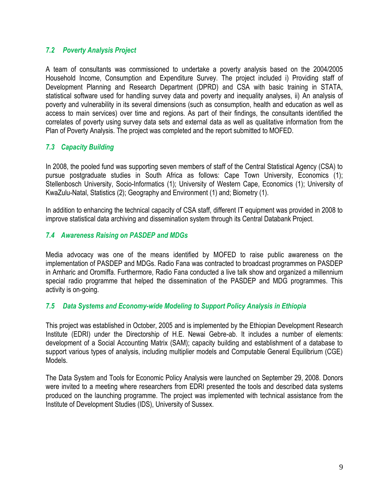#### <span id="page-11-0"></span>*7.2 Poverty Analysis Project*

A team of consultants was commissioned to undertake a poverty analysis based on the 2004/2005 Household Income, Consumption and Expenditure Survey. The project included i) Providing staff of Development Planning and Research Department (DPRD) and CSA with basic training in STATA, statistical software used for handling survey data and poverty and inequality analyses, ii) An analysis of poverty and vulnerability in its several dimensions (such as consumption, health and education as well as access to main services) over time and regions. As part of their findings, the consultants identified the correlates of poverty using survey data sets and external data as well as qualitative information from the Plan of Poverty Analysis. The project was completed and the report submitted to MOFED.

#### <span id="page-11-1"></span>*7.3 Capacity Building*

In 2008, the pooled fund was supporting seven members of staff of the Central Statistical Agency (CSA) to pursue postgraduate studies in South Africa as follows: Cape Town University, Economics (1); Stellenbosch University, Socio-Informatics (1); University of Western Cape, Economics (1); University of KwaZulu-Natal, Statistics (2); Geography and Environment (1) and; Biometry (1).

In addition to enhancing the technical capacity of CSA staff, different IT equipment was provided in 2008 to improve statistical data archiving and dissemination system through its Central Databank Project.

#### <span id="page-11-2"></span>*7.4 Awareness Raising on PASDEP and MDGs*

Media advocacy was one of the means identified by MOFED to raise public awareness on the implementation of PASDEP and MDGs. Radio Fana was contracted to broadcast programmes on PASDEP in Amharic and Oromiffa. Furthermore, Radio Fana conducted a live talk show and organized a millennium special radio programme that helped the dissemination of the PASDEP and MDG programmes. This activity is on-going.

#### <span id="page-11-3"></span>*7.5 Data Systems and Economy-wide Modeling to Support Policy Analysis in Ethiopia*

This project was established in October, 2005 and is implemented by the Ethiopian Development Research Institute (EDRI) under the Directorship of H.E. Newai Gebre-ab. It includes a number of elements: development of a Social Accounting Matrix (SAM); capacity building and establishment of a database to support various types of analysis, including multiplier models and Computable General Equilibrium (CGE) Models.

The Data System and Tools for Economic Policy Analysis were launched on September 29, 2008. Donors were invited to a meeting where researchers from EDRI presented the tools and described data systems produced on the launching programme. The project was implemented with technical assistance from the Institute of Development Studies (IDS), University of Sussex.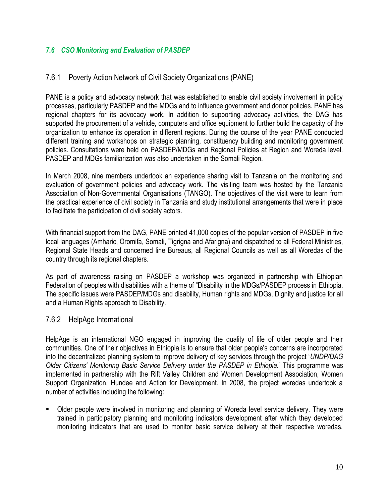#### <span id="page-12-0"></span>*7.6 CSO Monitoring and Evaluation of PASDEP*

#### <span id="page-12-1"></span>7.6.1 Poverty Action Network of Civil Society Organizations (PANE)

PANE is a policy and advocacy network that was established to enable civil society involvement in policy processes, particularly PASDEP and the MDGs and to influence government and donor policies. PANE has regional chapters for its advocacy work. In addition to supporting advocacy activities, the DAG has supported the procurement of a vehicle, computers and office equipment to further build the capacity of the organization to enhance its operation in different regions. During the course of the year PANE conducted different training and workshops on strategic planning, constituency building and monitoring government policies. Consultations were held on PASDEP/MDGs and Regional Policies at Region and Woreda level. PASDEP and MDGs familiarization was also undertaken in the Somali Region.

In March 2008, nine members undertook an experience sharing visit to Tanzania on the monitoring and evaluation of government policies and advocacy work. The visiting team was hosted by the Tanzania Association of Non-Governmental Organisations (TANGO). The objectives of the visit were to learn from the practical experience of civil society in Tanzania and study institutional arrangements that were in place to facilitate the participation of civil society actors.

With financial support from the DAG, PANE printed 41,000 copies of the popular version of PASDEP in five local languages (Amharic, Oromifa, Somali, Tigrigna and Afarigna) and dispatched to all Federal Ministries, Regional State Heads and concerned line Bureaus, all Regional Councils as well as all Woredas of the country through its regional chapters.

As part of awareness raising on PASDEP a workshop was organized in partnership with Ethiopian Federation of peoples with disabilities with a theme of "Disability in the MDGs/PASDEP process in Ethiopia. The specific issues were PASDEP/MDGs and disability, Human rights and MDGs, Dignity and justice for all and a Human Rights approach to Disability.

#### <span id="page-12-2"></span>7.6.2 HelpAge International

HelpAge is an international NGO engaged in improving the quality of life of older people and their communities. One of their objectives in Ethiopia is to ensure that older people"s concerns are incorporated into the decentralized planning system to improve delivery of key services through the project "*UNDP/DAG Older Citizens' Monitoring Basic Service Delivery under the PASDEP in Ethiopia.'* This programme was implemented in partnership with the Rift Valley Children and Women Development Association, Women Support Organization, Hundee and Action for Development. In 2008, the project woredas undertook a number of activities including the following:

 Older people were involved in monitoring and planning of Woreda level service delivery. They were trained in participatory planning and monitoring indicators development after which they developed monitoring indicators that are used to monitor basic service delivery at their respective woredas.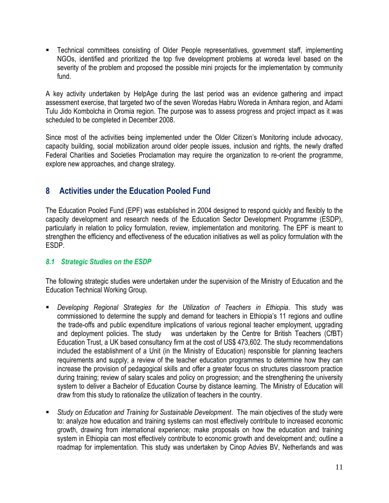Technical committees consisting of Older People representatives, government staff, implementing NGOs, identified and prioritized the top five development problems at woreda level based on the severity of the problem and proposed the possible mini projects for the implementation by community fund.

A key activity undertaken by HelpAge during the last period was an evidence gathering and impact assessment exercise, that targeted two of the seven Woredas Habru Woreda in Amhara region, and Adami Tulu Jido Kombolcha in Oromia region. The purpose was to assess progress and project impact as it was scheduled to be completed in December 2008.

Since most of the activities being implemented under the Older Citizen"s Monitoring include advocacy, capacity building, social mobilization around older people issues, inclusion and rights, the newly drafted Federal Charities and Societies Proclamation may require the organization to re-orient the programme, explore new approaches, and change strategy.

# <span id="page-13-0"></span>**8 Activities under the Education Pooled Fund**

The Education Pooled Fund (EPF) was established in 2004 designed to respond quickly and flexibly to the capacity development and research needs of the Education Sector Development Programme (ESDP), particularly in relation to policy formulation, review, implementation and monitoring. The EPF is meant to strengthen the efficiency and effectiveness of the education initiatives as well as policy formulation with the ESDP.

#### <span id="page-13-1"></span>*8.1 Strategic Studies on the ESDP*

The following strategic studies were undertaken under the supervision of the Ministry of Education and the Education Technical Working Group.

- *Developing Regional Strategies for the Utilization of Teachers in Ethiopia*. This study was commissioned to determine the supply and demand for teachers in Ethiopia"s 11 regions and outline the trade-offs and public expenditure implications of various regional teacher employment, upgrading and deployment policies. The study was undertaken by the Centre for British Teachers (CfBT) Education Trust, a UK based consultancy firm at the cost of US\$ 473,602. The study recommendations included the establishment of a Unit (in the Ministry of Education) responsible for planning teachers requirements and supply; a review of the teacher education programmes to determine how they can increase the provision of pedagogical skills and offer a greater focus on structures classroom practice during training; review of salary scales and policy on progression; and the strengthening the university system to deliver a Bachelor of Education Course by distance learning. The Ministry of Education will draw from this study to rationalize the utilization of teachers in the country.
- *Study on Education and Training for Sustainable Development*. The main objectives of the study were to: analyze how education and training systems can most effectively contribute to increased economic growth, drawing from international experience; make proposals on how the education and training system in Ethiopia can most effectively contribute to economic growth and development and; outline a roadmap for implementation. This study was undertaken by Cinop Advies BV, Netherlands and was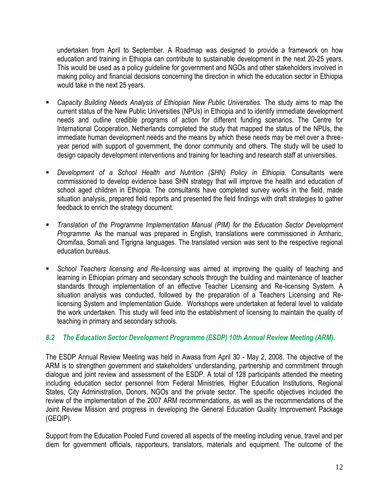undertaken from April to September. A Roadmap was designed to provide a framework on how education and training in Ethiopia can contribute to sustainable development in the next 20-25 years. This would be used as a policy guideline for government and NGOs and other stakeholders involved in making policy and financial decisions concerning the direction in which the education sector in Ethiopia would take in the next 25 years.

- *Capacity Building Needs Analysis of Ethiopian New Public Universities.* The study aims to map the current status of the New Public Universities (NPUs) in Ethiopia and to identify immediate development needs and outline credible programs of action for different funding scenarios. The Centre for International Cooperation, Netherlands completed the study that mapped the status of the NPUs, the immediate human development needs and the means by which these needs may be met over a threeyear period with support of government, the donor community and others. The study will be used to design capacity development interventions and training for teaching and research staff at universities.
- *Development of a School Health and Nutrition (SHN) Policy in Ethiopia.* Consultants were commissioned to develop evidence base SHN strategy that will improve the health and education of school aged children in Ethiopia. The consultants have completed survey works in the field, made situation analysis, prepared field reports and presented the field findings with draft strategies to gather feedback to enrich the strategy document.
- *Translation of the Programme Implementation Manual (PIM) for the Education Sector Development Programme*. As the manual was prepared in English, translations were commissioned in Amharic, Oromifaa, Somali and Tigrigna languages. The translated version was sent to the respective regional education bureaus.
- *School Teachers licensing and Re-licensing* was aimed at improving the quality of teaching and learning in Ethiopian primary and secondary schools through the building and maintenance of teacher standards through implementation of an effective Teacher Licensing and Re-licensing System. A situation analysis was conducted, followed by the preparation of a Teachers Licensing and Relicensing System and Implementation Guide. Workshops were undertaken at federal level to validate the work undertaken. This study will feed into the establishment of licensing to maintain the quality of teaching in primary and secondary schools.

#### <span id="page-14-0"></span>*8.2 The Education Sector Development Programme (ESDP) 10th Annual Review Meeting (ARM).*

The ESDP Annual Review Meeting was held in Awasa from April 30 - May 2, 2008. The objective of the ARM is to strengthen government and stakeholders' understanding, partnership and commitment through dialogue and joint review and assessment of the ESDP. A total of 128 participants attended the meeting including education sector personnel from Federal Ministries, Higher Education Institutions, Regional States, City Administration, Donors, NGOs and the private sector. The specific objectives included the review of the implementation of the 2007 ARM recommendations, as well as the recommendations of the Joint Review Mission and progress in developing the General Education Quality Improvement Package (GEQIP).

Support from the Education Pooled Fund covered all aspects of the meeting including venue, travel and per diem for government officials, rapporteurs, translators, materials and equipment. The outcome of the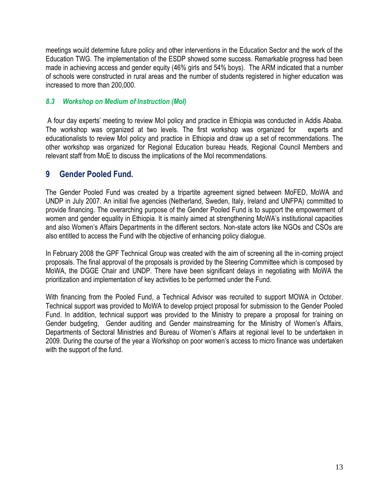meetings would determine future policy and other interventions in the Education Sector and the work of the Education TWG. The implementation of the ESDP showed some success. Remarkable progress had been made in achieving access and gender equity (46% girls and 54% boys). The ARM indicated that a number of schools were constructed in rural areas and the number of students registered in higher education was increased to more than 200,000.

#### <span id="page-15-0"></span>*8.3 Workshop on Medium of Instruction (MoI)*

A four day experts" meeting to review MoI policy and practice in Ethiopia was conducted in Addis Ababa. The workshop was organized at two levels. The first workshop was organized for experts and educationalists to review MoI policy and practice in Ethiopia and draw up a set of recommendations. The other workshop was organized for Regional Education bureau Heads, Regional Council Members and relevant staff from MoE to discuss the implications of the MoI recommendations.

# <span id="page-15-1"></span>**9 Gender Pooled Fund.**

The Gender Pooled Fund was created by a tripartite agreement signed between MoFED, MoWA and UNDP in July 2007. An initial five agencies (Netherland, Sweden, Italy, Ireland and UNFPA) committed to provide financing. The overarching purpose of the Gender Pooled Fund is to support the empowerment of women and gender equality in Ethiopia. It is mainly aimed at strengthening MoWA's institutional capacities and also Women"s Affairs Departments in the different sectors. Non-state actors like NGOs and CSOs are also entitled to access the Fund with the objective of enhancing policy dialogue.

In February 2008 the GPF Technical Group was created with the aim of screening all the in-coming project proposals. The final approval of the proposals is provided by the Steering Committee which is composed by MoWA, the DGGE Chair and UNDP. There have been significant delays in negotiating with MoWA the prioritization and implementation of key activities to be performed under the Fund.

With financing from the Pooled Fund, a Technical Advisor was recruited to support MOWA in October. Technical support was provided to MoWA to develop project proposal for submission to the Gender Pooled Fund. In addition, technical support was provided to the Ministry to prepare a proposal for training on Gender budgeting, Gender auditing and Gender mainstreaming for the Ministry of Women"s Affairs, Departments of Sectoral Ministries and Bureau of Women"s Affairs at regional level to be undertaken in 2009. During the course of the year a Workshop on poor women"s access to micro finance was undertaken with the support of the fund.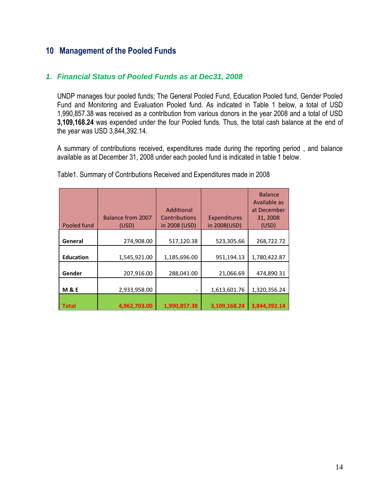# <span id="page-16-0"></span>**10 Management of the Pooled Funds**

#### <span id="page-16-1"></span>*1. Financial Status of Pooled Funds as at Dec31, 2008*

UNDP manages four pooled funds; The General Pooled Fund, Education Pooled fund, Gender Pooled Fund and Monitoring and Evaluation Pooled fund. As indicated in Table 1 below, a total of USD 1,990,857.38 was received as a contribution from various donors in the year 2008 and a total of USD **3,109,168.24** was expended under the four Pooled funds. Thus, the total cash balance at the end of the year was USD 3,844,392.14.

A summary of contributions received, expenditures made during the reporting period , and balance available as at December 31, 2008 under each pooled fund is indicated in table 1 below.

| Pooled fund      | <b>Balance from 2007</b><br>(USD) | Additional<br><b>Contributions</b><br>in 2008 (USD) | Expenditures<br>in 2008(USD) | <b>Balance</b><br>Available as<br>at December<br>31, 2008<br>(USD) |
|------------------|-----------------------------------|-----------------------------------------------------|------------------------------|--------------------------------------------------------------------|
| General          | 274,908.00                        | 517,120.38                                          | 523,305.66                   | 268,722.72                                                         |
| <b>Education</b> | 1,545,921.00                      | 1,185,696.00                                        | 951,194.13                   | 1,780,422.87                                                       |
| Gender           | 207,916.00                        | 288,041.00                                          | 21,066.69                    | 474,890.31                                                         |
| <b>M&amp;E</b>   | 2,933,958.00                      |                                                     | 1,613,601.76                 | 1,320,356.24                                                       |
| <b>Total</b>     | 4,962,703.00                      | 1,990,857.38                                        | 3,109,168.24                 | 3,844,392.14                                                       |

Table1. Summary of Contributions Received and Expenditures made in 2008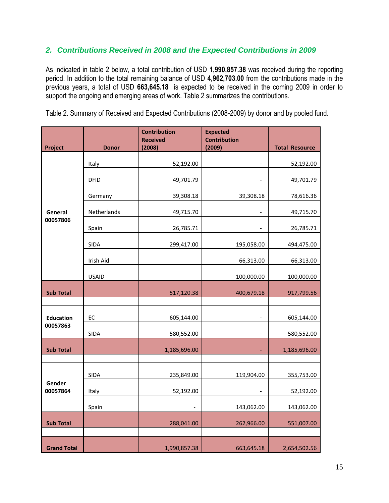#### <span id="page-17-0"></span>*2. Contributions Received in 2008 and the Expected Contributions in 2009*

As indicated in table 2 below, a total contribution of USD **1,990,857.38** was received during the reporting period. In addition to the total remaining balance of USD **4,962,703.00** from the contributions made in the previous years, a total of USD **663,645.18** is expected to be received in the coming 2009 in order to support the ongoing and emerging areas of work. Table 2 summarizes the contributions.

|                    |              | <b>Contribution</b><br><b>Received</b> | <b>Expected</b><br><b>Contribution</b> |                       |
|--------------------|--------------|----------------------------------------|----------------------------------------|-----------------------|
| Project            | <b>Donor</b> | (2008)                                 | (2009)                                 | <b>Total Resource</b> |
|                    | Italy        | 52,192.00                              | -                                      | 52,192.00             |
|                    | <b>DFID</b>  | 49,701.79                              |                                        | 49,701.79             |
|                    | Germany      | 39,308.18                              | 39,308.18                              | 78,616.36             |
| General            | Netherlands  | 49,715.70                              |                                        | 49,715.70             |
| 00057806           | Spain        | 26,785.71                              |                                        | 26,785.71             |
|                    | <b>SIDA</b>  | 299,417.00                             | 195,058.00                             | 494,475.00            |
|                    | Irish Aid    |                                        | 66,313.00                              | 66,313.00             |
|                    | <b>USAID</b> |                                        | 100,000.00                             | 100,000.00            |
| <b>Sub Total</b>   |              | 517,120.38                             | 400,679.18                             | 917,799.56            |
|                    |              |                                        |                                        |                       |
| <b>Education</b>   | EC           | 605,144.00                             |                                        | 605,144.00            |
| 00057863           | <b>SIDA</b>  | 580,552.00                             | $\overline{\phantom{a}}$               | 580,552.00            |
| <b>Sub Total</b>   |              | 1,185,696.00                           |                                        | 1,185,696.00          |
|                    |              |                                        |                                        |                       |
|                    | SIDA         | 235,849.00                             | 119,904.00                             | 355,753.00            |
| Gender<br>00057864 | Italy        | 52,192.00                              |                                        | 52,192.00             |
|                    | Spain        |                                        | 143,062.00                             | 143,062.00            |
| <b>Sub Total</b>   |              | 288,041.00                             | 262,966.00                             | 551,007.00            |
|                    |              |                                        |                                        |                       |
| <b>Grand Total</b> |              | 1,990,857.38                           | 663,645.18                             | 2,654,502.56          |

Table 2. Summary of Received and Expected Contributions (2008-2009) by donor and by pooled fund.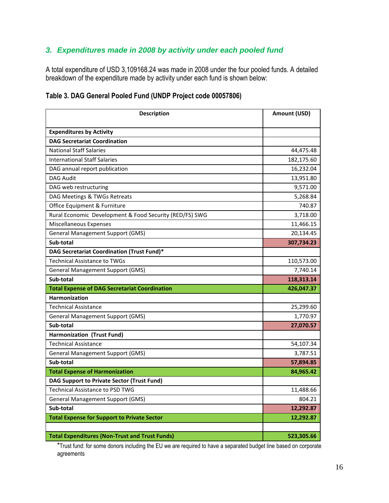# <span id="page-18-0"></span>*3. Expenditures made in 2008 by activity under each pooled fund*

A total expenditure of USD 3,109168.24 was made in 2008 under the four pooled funds. A detailed breakdown of the expenditure made by activity under each fund is shown below:

| Table 3. DAG General Pooled Fund (UNDP Project code 00057806) |  |  |
|---------------------------------------------------------------|--|--|
|                                                               |  |  |

| <b>Description</b>                                      | Amount (USD) |
|---------------------------------------------------------|--------------|
| <b>Expenditures by Activity</b>                         |              |
| <b>DAG Secretariat Coordination</b>                     |              |
| <b>National Staff Salaries</b>                          | 44,475.48    |
| <b>International Staff Salaries</b>                     | 182,175.60   |
| DAG annual report publication                           | 16,232.04    |
| <b>DAG Audit</b>                                        | 13,951.80    |
| DAG web restructuring                                   | 9,571.00     |
| DAG Meetings & TWGs Retreats                            | 5,268.84     |
| Office Equipment & Furniture                            | 740.87       |
| Rural Economic Development & Food Security (RED/FS) SWG | 3,718.00     |
| Miscellaneous Expenses                                  | 11,466.15    |
| <b>General Management Support (GMS)</b>                 | 20,134.45    |
| Sub-total                                               | 307,734.23   |
| DAG Secretariat Coordination (Trust Fund)*              |              |
| <b>Technical Assistance to TWGs</b>                     | 110,573.00   |
| <b>General Management Support (GMS)</b>                 | 7,740.14     |
| Sub-total                                               | 118,313.14   |
| <b>Total Expense of DAG Secretariat Coordination</b>    | 426,047.37   |
| <b>Harmonization</b>                                    |              |
| <b>Technical Assistance</b>                             | 25,299.60    |
| General Management Support (GMS)                        | 1,770.97     |
| Sub-total                                               | 27,070.57    |
| Harmonization (Trust Fund)                              |              |
| Technical Assistance                                    | 54,107.34    |
| <b>General Management Support (GMS)</b>                 | 3,787.51     |
| Sub-total                                               | 57,894.85    |
| <b>Total Expense of Harmonization</b>                   | 84,965.42    |
| <b>DAG Support to Private Sector (Trust Fund)</b>       |              |
| Technical Assistance to PSD TWG                         | 11,488.66    |
| <b>General Management Support (GMS)</b>                 | 804.21       |
| Sub-total                                               | 12,292.87    |
| <b>Total Expense for Support to Private Sector</b>      | 12,292.87    |
| <b>Total Expenditures (Non-Trust and Trust Funds)</b>   | 523,305.66   |

\*Trust fund: for some donors including the EU we are required to have a separated budget line based on corporate agreements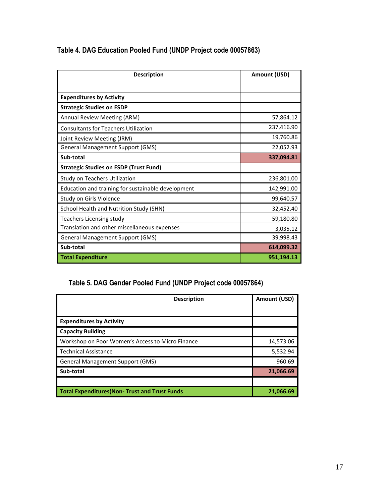| <b>Description</b>                                 | Amount (USD) |
|----------------------------------------------------|--------------|
|                                                    |              |
| <b>Expenditures by Activity</b>                    |              |
| <b>Strategic Studies on ESDP</b>                   |              |
| Annual Review Meeting (ARM)                        | 57,864.12    |
| <b>Consultants for Teachers Utilization</b>        | 237,416.90   |
| Joint Review Meeting (JRM)                         | 19,760.86    |
| <b>General Management Support (GMS)</b>            | 22,052.93    |
| Sub-total                                          | 337,094.81   |
| <b>Strategic Studies on ESDP (Trust Fund)</b>      |              |
| Study on Teachers Utilization                      | 236,801.00   |
| Education and training for sustainable development | 142,991.00   |
| Study on Girls Violence                            | 99,640.57    |
| School Health and Nutrition Study (SHN)            | 32,452.40    |
| <b>Teachers Licensing study</b>                    | 59,180.80    |
| Translation and other miscellaneous expenses       | 3,035.12     |
| <b>General Management Support (GMS)</b>            | 39,998.43    |
| Sub-total                                          | 614,099.32   |
| <b>Total Expenditure</b>                           | 951,194.13   |

# **Table 4. DAG Education Pooled Fund (UNDP Project code 00057863)**

# **Table 5. DAG Gender Pooled Fund (UNDP Project code 00057864)**

| <b>Description</b>                                    | Amount (USD) |
|-------------------------------------------------------|--------------|
|                                                       |              |
| <b>Expenditures by Activity</b>                       |              |
| <b>Capacity Building</b>                              |              |
| Workshop on Poor Women's Access to Micro Finance      | 14,573.06    |
| <b>Technical Assistance</b>                           | 5,532.94     |
| <b>General Management Support (GMS)</b>               | 960.69       |
| Sub-total                                             | 21,066.69    |
|                                                       |              |
| <b>Total Expenditures (Non- Trust and Trust Funds</b> | 21,066.69    |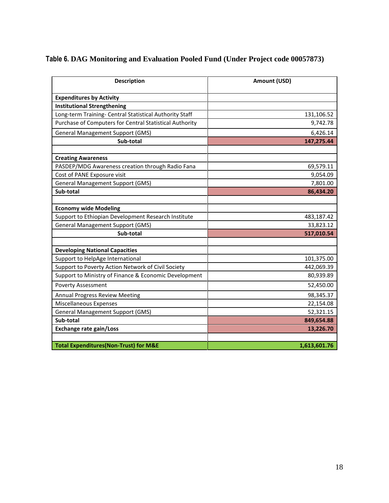# **Table 6. DAG Monitoring and Evaluation Pooled Fund (Under Project code 00057873)**

| <b>Description</b>                                      | Amount (USD) |
|---------------------------------------------------------|--------------|
| <b>Expenditures by Activity</b>                         |              |
| <b>Institutional Strengthening</b>                      |              |
| Long-term Training- Central Statistical Authority Staff | 131,106.52   |
| Purchase of Computers for Central Statistical Authority | 9,742.78     |
| <b>General Management Support (GMS)</b>                 | 6,426.14     |
| Sub-total                                               | 147,275.44   |
|                                                         |              |
| <b>Creating Awareness</b>                               |              |
| PASDEP/MDG Awareness creation through Radio Fana        | 69,579.11    |
| Cost of PANE Exposure visit                             | 9,054.09     |
| <b>General Management Support (GMS)</b>                 | 7,801.00     |
| Sub-total                                               | 86,434.20    |
|                                                         |              |
| <b>Economy wide Modeling</b>                            |              |
| Support to Ethiopian Development Research Institute     | 483,187.42   |
| <b>General Management Support (GMS)</b>                 | 33,823.12    |
| Sub-total                                               | 517,010.54   |
|                                                         |              |
| <b>Developing National Capacities</b>                   |              |
| Support to HelpAge International                        | 101,375.00   |
| Support to Poverty Action Network of Civil Society      | 442,069.39   |
| Support to Ministry of Finance & Economic Development   | 80,939.89    |
| <b>Poverty Assessment</b>                               | 52,450.00    |
| <b>Annual Progress Review Meeting</b>                   | 98,345.37    |
| <b>Miscellaneous Expenses</b>                           | 22,154.08    |
| <b>General Management Support (GMS)</b>                 | 52,321.15    |
| Sub-total                                               | 849,654.88   |
| <b>Exchange rate gain/Loss</b>                          | 13,226.70    |
|                                                         |              |
| <b>Total Expenditures(Non-Trust) for M&amp;E</b>        | 1,613,601.76 |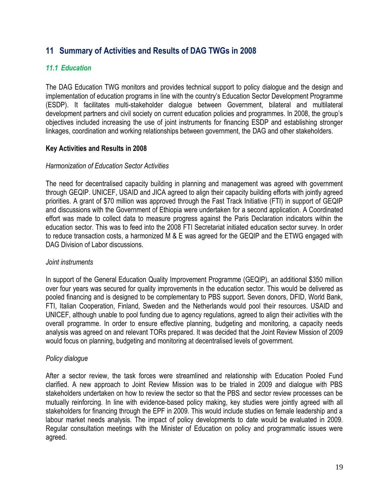# <span id="page-21-0"></span>**11 Summary of Activities and Results of DAG TWGs in 2008**

#### <span id="page-21-1"></span>*11.1 Education*

The DAG Education TWG monitors and provides technical support to policy dialogue and the design and implementation of education programs in line with the country"s Education Sector Development Programme (ESDP). It facilitates multi-stakeholder dialogue between Government, bilateral and multilateral development partners and civil society on current education policies and programmes. In 2008, the group"s objectives included increasing the use of joint instruments for financing ESDP and establishing stronger linkages, coordination and working relationships between government, the DAG and other stakeholders.

#### **Key Activities and Results in 2008**

#### *Harmonization of Education Sector Activities*

The need for decentralised capacity building in planning and management was agreed with government through GEQIP. UNICEF, USAID and JICA agreed to align their capacity building efforts with jointly agreed priorities. A grant of \$70 million was approved through the Fast Track Initiative (FTI) in support of GEQIP and discussions with the Government of Ethiopia were undertaken for a second application. A Coordinated effort was made to collect data to measure progress against the Paris Declaration indicators within the education sector. This was to feed into the 2008 FTI Secretariat initiated education sector survey. In order to reduce transaction costs, a harmonized M & E was agreed for the GEQIP and the ETWG engaged with DAG Division of Labor discussions.

#### *Joint instruments*

In support of the General Education Quality Improvement Programme (GEQIP), an additional \$350 million over four years was secured for quality improvements in the education sector. This would be delivered as pooled financing and is designed to be complementary to PBS support. Seven donors, DFID, World Bank, FTI, Italian Cooperation, Finland, Sweden and the Netherlands would pool their resources. USAID and UNICEF, although unable to pool funding due to agency regulations, agreed to align their activities with the overall programme. In order to ensure effective planning, budgeting and monitoring, a capacity needs analysis was agreed on and relevant TORs prepared. It was decided that the Joint Review Mission of 2009 would focus on planning, budgeting and monitoring at decentralised levels of government.

#### *Policy dialogue*

After a sector review, the task forces were streamlined and relationship with Education Pooled Fund clarified. A new approach to Joint Review Mission was to be trialed in 2009 and dialogue with PBS stakeholders undertaken on how to review the sector so that the PBS and sector review processes can be mutually reinforcing. In line with evidence-based policy making, key studies were jointly agreed with all stakeholders for financing through the EPF in 2009. This would include studies on female leadership and a labour market needs analysis. The impact of policy developments to date would be evaluated in 2009. Regular consultation meetings with the Minister of Education on policy and programmatic issues were agreed.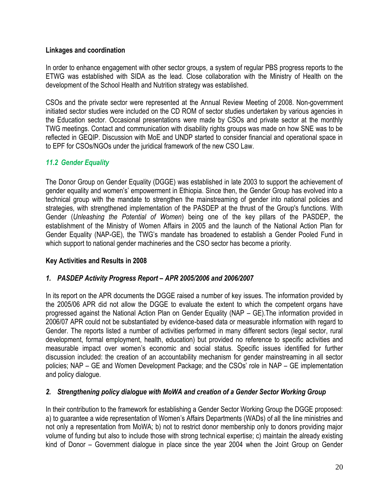#### **Linkages and coordination**

In order to enhance engagement with other sector groups*,* a system of regular PBS progress reports to the ETWG was established with SIDA as the lead. Close collaboration with the Ministry of Health on the development of the School Health and Nutrition strategy was established.

CSOs and the private sector were represented at the Annual Review Meeting of 2008. Non-government initiated sector studies were included on the CD ROM of sector studies undertaken by various agencies in the Education sector. Occasional presentations were made by CSOs and private sector at the monthly TWG meetings. Contact and communication with disability rights groups was made on how SNE was to be reflected in GEQIP. Discussion with MoE and UNDP started to consider financial and operational space in to EPF for CSOs/NGOs under the juridical framework of the new CSO Law.

#### <span id="page-22-0"></span>*11.2 Gender Equality*

The Donor Group on Gender Equality (DGGE) was established in late 2003 to support the achievement of gender equality and women's' empowerment in Ethiopia. Since then, the Gender Group has evolved into a technical group with the mandate to strengthen the mainstreaming of gender into national policies and strategies, with strengthened implementation of the PASDEP at the thrust of the Group's functions. With Gender (*Unleashing the Potential of Women*) being one of the key pillars of the PASDEP, the establishment of the Ministry of Women Affairs in 2005 and the launch of the National Action Plan for Gender Equality (NAP-GE), the TWG"s mandate has broadened to establish a Gender Pooled Fund in which support to national gender machineries and the CSO sector has become a priority.

#### **Key Activities and Results in 2008**

#### *1. PASDEP Activity Progress Report – APR 2005/2006 and 2006/2007*

In its report on the APR documents the DGGE raised a number of key issues. The information provided by the 2005/06 APR did not allow the DGGE to evaluate the extent to which the competent organs have progressed against the National Action Plan on Gender Equality (NAP – GE).The information provided in 2006/07 APR could not be substantiated by evidence-based data or measurable information with regard to Gender. The reports listed a number of activities performed in many different sectors (legal sector, rural development, formal employment, health, education) but provided no reference to specific activities and measurable impact over women"s economic and social status. Specific issues identified for further discussion included: the creation of an accountability mechanism for gender mainstreaming in all sector policies; NAP – GE and Women Development Package; and the CSOs" role in NAP – GE implementation and policy dialogue.

#### *2. Strengthening policy dialogue with MoWA and creation of a Gender Sector Working Group*

In their contribution to the framework for establishing a Gender Sector Working Group the DGGE proposed: a) to guarantee a wide representation of Women"s Affairs Departments (WADs) of all the line ministries and not only a representation from MoWA; b) not to restrict donor membership only to donors providing major volume of funding but also to include those with strong technical expertise; c) maintain the already existing kind of Donor – Government dialogue in place since the year 2004 when the Joint Group on Gender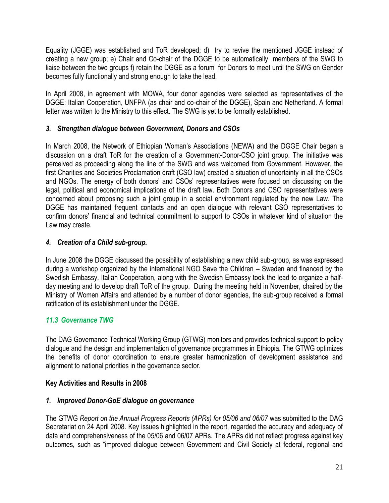Equality (JGGE) was established and ToR developed; d) try to revive the mentioned JGGE instead of creating a new group; e) Chair and Co-chair of the DGGE to be automatically members of the SWG to liaise between the two groups f) retain the DGGE as a forum for Donors to meet until the SWG on Gender becomes fully functionally and strong enough to take the lead.

In April 2008, in agreement with MOWA, four donor agencies were selected as representatives of the DGGE: Italian Cooperation, UNFPA (as chair and co-chair of the DGGE), Spain and Netherland. A formal letter was written to the Ministry to this effect. The SWG is yet to be formally established.

#### *3. Strengthen dialogue between Government, Donors and CSOs*

In March 2008, the Network of Ethiopian Woman's Associations (NEWA) and the DGGE Chair began a discussion on a draft ToR for the creation of a Government-Donor-CSO joint group. The initiative was perceived as proceeding along the line of the SWG and was welcomed from Government. However, the first Charities and Societies Proclamation draft (CSO law) created a situation of uncertainty in all the CSOs and NGOs. The energy of both donors' and CSOs' representatives were focused on discussing on the legal, political and economical implications of the draft law. Both Donors and CSO representatives were concerned about proposing such a joint group in a social environment regulated by the new Law. The DGGE has maintained frequent contacts and an open dialogue with relevant CSO representatives to confirm donors" financial and technical commitment to support to CSOs in whatever kind of situation the Law may create.

#### *4. Creation of a Child sub-group.*

In June 2008 the DGGE discussed the possibility of establishing a new child sub-group, as was expressed during a workshop organized by the international NGO Save the Children – Sweden and financed by the Swedish Embassy. Italian Cooperation, along with the Swedish Embassy took the lead to organize a halfday meeting and to develop draft ToR of the group. During the meeting held in November, chaired by the Ministry of Women Affairs and attended by a number of donor agencies, the sub-group received a formal ratification of its establishment under the DGGE.

#### <span id="page-23-0"></span>*11.3 Governance TWG*

The DAG Governance Technical Working Group (GTWG) monitors and provides technical support to policy dialogue and the design and implementation of governance programmes in Ethiopia. The GTWG optimizes the benefits of donor coordination to ensure greater harmonization of development assistance and alignment to national priorities in the governance sector.

#### **Key Activities and Results in 2008**

#### *1. Improved Donor-GoE dialogue on governance*

The GTWG *Report on the Annual Progress Reports (APRs) for 05/06 and 06/07* was submitted to the DAG Secretariat on 24 April 2008. Key issues highlighted in the report, regarded the accuracy and adequacy of data and comprehensiveness of the 05/06 and 06/07 APRs. The APRs did not reflect progress against key outcomes, such as "improved dialogue between Government and Civil Society at federal, regional and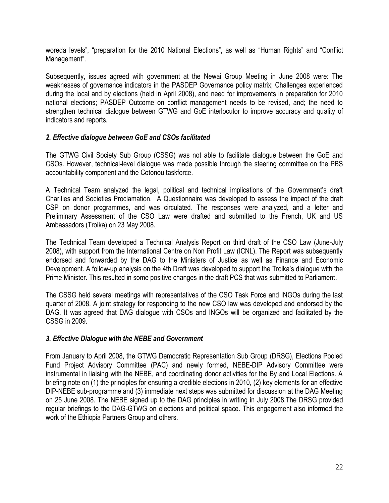woreda levels", "preparation for the 2010 National Elections", as well as "Human Rights" and "Conflict Management".

Subsequently, issues agreed with government at the Newai Group Meeting in June 2008 were: The weaknesses of governance indicators in the PASDEP Governance policy matrix; Challenges experienced during the local and by elections (held in April 2008), and need for improvements in preparation for 2010 national elections; PASDEP Outcome on conflict management needs to be revised, and; the need to strengthen technical dialogue between GTWG and GoE interlocutor to improve accuracy and quality of indicators and reports.

#### *2. Effective dialogue between GoE and CSOs facilitated*

The GTWG Civil Society Sub Group (CSSG) was not able to facilitate dialogue between the GoE and CSOs. However, technical-level dialogue was made possible through the steering committee on the PBS accountability component and the Cotonou taskforce.

A Technical Team analyzed the legal, political and technical implications of the Government's draft Charities and Societies Proclamation. A Questionnaire was developed to assess the impact of the draft CSP on donor programmes, and was circulated. The responses were analyzed, and a letter and Preliminary Assessment of the CSO Law were drafted and submitted to the French, UK and US Ambassadors (Troika) on 23 May 2008.

The Technical Team developed a Technical Analysis Report on third draft of the CSO Law (June-July 2008), with support from the International Centre on Non Profit Law (ICNL). The Report was subsequently endorsed and forwarded by the DAG to the Ministers of Justice as well as Finance and Economic Development. A follow-up analysis on the 4th Draft was developed to support the Troika"s dialogue with the Prime Minister. This resulted in some positive changes in the draft PCS that was submitted to Parliament.

The CSSG held several meetings with representatives of the CSO Task Force and INGOs during the last quarter of 2008. A joint strategy for responding to the new CSO law was developed and endorsed by the DAG. It was agreed that DAG dialogue with CSOs and INGOs will be organized and facilitated by the CSSG in 2009.

#### *3. Effective Dialogue with the NEBE and Government*

From January to April 2008, the GTWG Democratic Representation Sub Group (DRSG), Elections Pooled Fund Project Advisory Committee (PAC) and newly formed, NEBE-DIP Advisory Committee were instrumental in liaising with the NEBE, and coordinating donor activities for the By and Local Elections. A briefing note on (1) the principles for ensuring a credible elections in 2010, (2) key elements for an effective DIP-NEBE sub-programme and (3) immediate next steps was submitted for discussion at the DAG Meeting on 25 June 2008. The NEBE signed up to the DAG principles in writing in July 2008.The DRSG provided regular briefings to the DAG-GTWG on elections and political space. This engagement also informed the work of the Ethiopia Partners Group and others.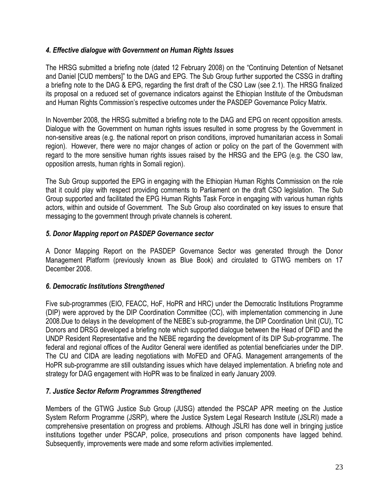#### *4. Effective dialogue with Government on Human Rights Issues*

The HRSG submitted a briefing note (dated 12 February 2008) on the "Continuing Detention of Netsanet and Daniel [CUD members]" to the DAG and EPG. The Sub Group further supported the CSSG in drafting a briefing note to the DAG & EPG, regarding the first draft of the CSO Law (see 2.1). The HRSG finalized its proposal on a reduced set of governance indicators against the Ethiopian Institute of the Ombudsman and Human Rights Commission's respective outcomes under the PASDEP Governance Policy Matrix.

In November 2008, the HRSG submitted a briefing note to the DAG and EPG on recent opposition arrests. Dialogue with the Government on human rights issues resulted in some progress by the Government in non-sensitive areas (e.g. the national report on prison conditions, improved humanitarian access in Somali region). However, there were no major changes of action or policy on the part of the Government with regard to the more sensitive human rights issues raised by the HRSG and the EPG (e.g. the CSO law, opposition arrests, human rights in Somali region).

The Sub Group supported the EPG in engaging with the Ethiopian Human Rights Commission on the role that it could play with respect providing comments to Parliament on the draft CSO legislation. The Sub Group supported and facilitated the EPG Human Rights Task Force in engaging with various human rights actors, within and outside of Government. The Sub Group also coordinated on key issues to ensure that messaging to the government through private channels is coherent.

#### *5. Donor Mapping report on PASDEP Governance sector*

A Donor Mapping Report on the PASDEP Governance Sector was generated through the Donor Management Platform (previously known as Blue Book) and circulated to GTWG members on 17 December 2008.

#### *6. Democratic Institutions Strengthened*

Five sub-programmes (EIO, FEACC, HoF, HoPR and HRC) under the Democratic Institutions Programme (DIP) were approved by the DIP Coordination Committee (CC), with implementation commencing in June 2008.Due to delays in the development of the NEBE"s sub-programme, the DIP Coordination Unit (CU), TC Donors and DRSG developed a briefing note which supported dialogue between the Head of DFID and the UNDP Resident Representative and the NEBE regarding the development of its DIP Sub-programme. The federal and regional offices of the Auditor General were identified as potential beneficiaries under the DIP. The CU and CIDA are leading negotiations with MoFED and OFAG. Management arrangements of the HoPR sub-programme are still outstanding issues which have delayed implementation. A briefing note and strategy for DAG engagement with HoPR was to be finalized in early January 2009.

#### *7. Justice Sector Reform Programmes Strengthened*

Members of the GTWG Justice Sub Group (JUSG) attended the PSCAP APR meeting on the Justice System Reform Programme (JSRP), where the Justice System Legal Research Institute (JSLRI) made a comprehensive presentation on progress and problems. Although JSLRI has done well in bringing justice institutions together under PSCAP, police, prosecutions and prison components have lagged behind. Subsequently, improvements were made and some reform activities implemented.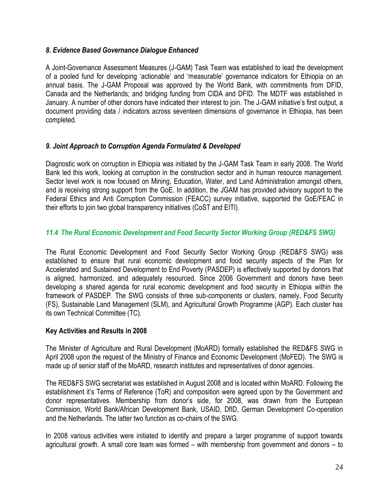#### *8. Evidence Based Governance Dialogue Enhanced*

A Joint-Governance Assessment Measures (J-GAM) Task Team was established to lead the development of a pooled fund for developing "actionable" and "measurable" governance indicators for Ethiopia on an annual basis. The J-GAM Proposal was approved by the World Bank, with commitments from DFID, Canada and the Netherlands; and bridging funding from CIDA and DFID. The MDTF was established in January. A number of other donors have indicated their interest to join. The J-GAM initiative's first output, a document providing data / indicators across seventeen dimensions of governance in Ethiopia, has been completed.

#### *9. Joint Approach to Corruption Agenda Formulated & Developed*

Diagnostic work on corruption in Ethiopia was initiated by the J-GAM Task Team in early 2008. The World Bank led this work, looking at corruption in the construction sector and in human resource management. Sector level work is now focused on Mining, Education, Water, and Land Administration amongst others, and is receiving strong support from the GoE. In addition, the JGAM has provided advisory support to the Federal Ethics and Anti Corruption Commission (FEACC) survey initiative, supported the GoE/FEAC in their efforts to join two global transparency initiatives (CoST and EITI).

#### <span id="page-26-0"></span>*11.4 The Rural Economic Development and Food Security Sector Working Group (RED&FS SWG)*

The Rural Economic Development and Food Security Sector Working Group (RED&FS SWG) was established to ensure that rural economic development and food security aspects of the Plan for Accelerated and Sustained Development to End Poverty (PASDEP) is effectively supported by donors that is aligned, harmonized, and adequately resourced. Since 2006 Government and donors have been developing a shared agenda for rural economic development and food security in Ethiopia within the framework of PASDEP. The SWG consists of three sub-components or clusters, namely, Food Security (FS), Sustainable Land Management (SLM), and Agricultural Growth Programme (AGP). Each cluster has its own Technical Committee (TC).

#### **Key Activities and Results in 2008**

The Minister of Agriculture and Rural Development (MoARD) formally established the RED&FS SWG in April 2008 upon the request of the Ministry of Finance and Economic Development (MoFED). The SWG is made up of senior staff of the MoARD, research institutes and representatives of donor agencies.

The RED&FS SWG secretariat was established in August 2008 and is located within MoARD. Following the establishment it's Terms of Reference (ToR) and composition were agreed upon by the Government and donor representatives. Membership from donor"s side, for 2008, was drawn from the European Commission, World Bank/African Development Bank, USAID, DfID, German Development Co-operation and the Netherlands. The latter two function as co-chairs of the SWG.

In 2008 various activities were initiated to identify and prepare a larger programme of support towards agricultural growth. A small core team was formed – with membership from government and donors – to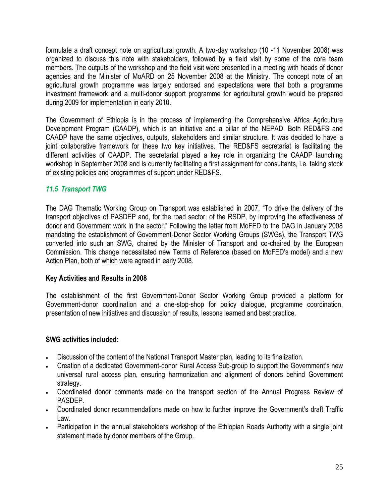formulate a draft concept note on agricultural growth. A two-day workshop (10 -11 November 2008) was organized to discuss this note with stakeholders, followed by a field visit by some of the core team members. The outputs of the workshop and the field visit were presented in a meeting with heads of donor agencies and the Minister of MoARD on 25 November 2008 at the Ministry. The concept note of an agricultural growth programme was largely endorsed and expectations were that both a programme investment framework and a multi-donor support programme for agricultural growth would be prepared during 2009 for implementation in early 2010.

The Government of Ethiopia is in the process of implementing the Comprehensive Africa Agriculture Development Program (CAADP), which is an initiative and a pillar of the NEPAD. Both RED&FS and CAADP have the same objectives, outputs, stakeholders and similar structure. It was decided to have a joint collaborative framework for these two key initiatives. The RED&FS secretariat is facilitating the different activities of CAADP. The secretariat played a key role in organizing the CAADP launching workshop in September 2008 and is currently facilitating a first assignment for consultants, i.e. taking stock of existing policies and programmes of support under RED&FS.

#### <span id="page-27-0"></span>*11.5 Transport TWG*

The DAG Thematic Working Group on Transport was established in 2007, "To drive the delivery of the transport objectives of PASDEP and, for the road sector, of the RSDP, by improving the effectiveness of donor and Government work in the sector." Following the letter from MoFED to the DAG in January 2008 mandating the establishment of Government-Donor Sector Working Groups (SWGs), the Transport TWG converted into such an SWG, chaired by the Minister of Transport and co-chaired by the European Commission. This change necessitated new Terms of Reference (based on MoFED"s model) and a new Action Plan, both of which were agreed in early 2008.

#### **Key Activities and Results in 2008**

The establishment of the first Government-Donor Sector Working Group provided a platform for Government-donor coordination and a one-stop-shop for policy dialogue, programme coordination, presentation of new initiatives and discussion of results, lessons learned and best practice.

#### **SWG activities included:**

- Discussion of the content of the National Transport Master plan, leading to its finalization.
- Creation of a dedicated Government-donor Rural Access Sub-group to support the Government's new universal rural access plan, ensuring harmonization and alignment of donors behind Government strategy.
- Coordinated donor comments made on the transport section of the Annual Progress Review of PASDEP.
- Coordinated donor recommendations made on how to further improve the Government's draft Traffic Law.
- Participation in the annual stakeholders workshop of the Ethiopian Roads Authority with a single joint statement made by donor members of the Group.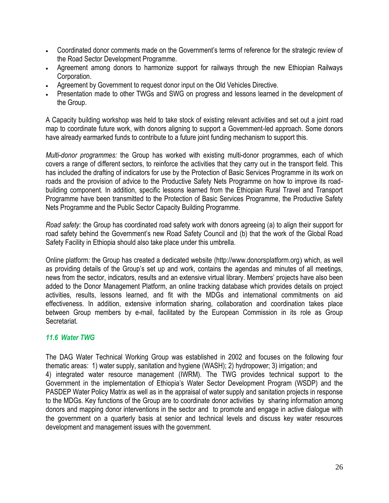- Coordinated donor comments made on the Government"s terms of reference for the strategic review of the Road Sector Development Programme.
- Agreement among donors to harmonize support for railways through the new Ethiopian Railways Corporation.
- Agreement by Government to request donor input on the Old Vehicles Directive.
- Presentation made to other TWGs and SWG on progress and lessons learned in the development of the Group.

A Capacity building workshop was held to take stock of existing relevant activities and set out a joint road map to coordinate future work, with donors aligning to support a Government-led approach. Some donors have already earmarked funds to contribute to a future joint funding mechanism to support this.

*Multi-donor programmes:* the Group has worked with existing multi-donor programmes, each of which covers a range of different sectors, to reinforce the activities that they carry out in the transport field. This has included the drafting of indicators for use by the Protection of Basic Services Programme in its work on roads and the provision of advice to the Productive Safety Nets Programme on how to improve its roadbuilding component. In addition, specific lessons learned from the Ethiopian Rural Travel and Transport Programme have been transmitted to the Protection of Basic Services Programme, the Productive Safety Nets Programme and the Public Sector Capacity Building Programme.

*Road safety:* the Group has coordinated road safety work with donors agreeing (a) to align their support for road safety behind the Government"s new Road Safety Council and (b) that the work of the Global Road Safety Facility in Ethiopia should also take place under this umbrella.

Online platform*:* the Group has created a dedicated website [\(http://www.donorsplatform.org](http://www.donorsplatform.org/)) which, as well as providing details of the Group"s set up and work, contains the agendas and minutes of all meetings, news from the sector, indicators, results and an extensive virtual library. Members" projects have also been added to the Donor Management Platform, an online tracking database which provides details on project activities, results, lessons learned, and fit with the MDGs and international commitments on aid effectiveness. In addition, extensive information sharing, collaboration and coordination takes place between Group members by e-mail, facilitated by the European Commission in its role as Group Secretariat.

#### <span id="page-28-0"></span>*11.6 Water TWG*

The DAG Water Technical Working Group was established in 2002 and focuses on the following four thematic areas: 1) water supply, sanitation and hygiene (WASH); 2) hydropower; 3) irrigation; and 4) integrated water resource management (IWRM). The TWG provides technical support to the Government in the implementation of Ethiopia"s Water Sector Development Program (WSDP) and the PASDEP Water Policy Matrix as well as in the appraisal of water supply and sanitation projects in response to the MDGs. Key functions of the Group are to coordinate donor activities by sharing information among donors and mapping donor interventions in the sector and to promote and engage in active dialogue with the government on a quarterly basis at senior and technical levels and discuss key water resources development and management issues with the government.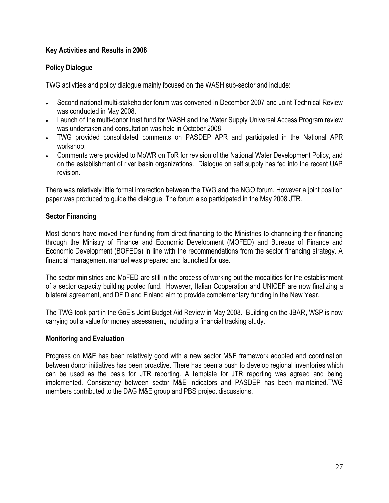#### **Key Activities and Results in 2008**

#### **Policy Dialogue**

TWG activities and policy dialogue mainly focused on the WASH sub-sector and include:

- Second national multi-stakeholder forum was convened in December 2007 and Joint Technical Review was conducted in May 2008.
- Launch of the multi-donor trust fund for WASH and the Water Supply Universal Access Program review was undertaken and consultation was held in October 2008.
- TWG provided consolidated comments on PASDEP APR and participated in the National APR workshop;
- Comments were provided to MoWR on ToR for revision of the National Water Development Policy, and on the establishment of river basin organizations. Dialogue on self supply has fed into the recent UAP revision.

There was relatively little formal interaction between the TWG and the NGO forum. However a joint position paper was produced to guide the dialogue. The forum also participated in the May 2008 JTR.

#### **Sector Financing**

Most donors have moved their funding from direct financing to the Ministries to channeling their financing through the Ministry of Finance and Economic Development (MOFED) and Bureaus of Finance and Economic Development (BOFEDs) in line with the recommendations from the sector financing strategy. A financial management manual was prepared and launched for use.

The sector ministries and MoFED are still in the process of working out the modalities for the establishment of a sector capacity building pooled fund. However, Italian Cooperation and UNICEF are now finalizing a bilateral agreement, and DFID and Finland aim to provide complementary funding in the New Year.

The TWG took part in the GoE"s Joint Budget Aid Review in May 2008. Building on the JBAR, WSP is now carrying out a value for money assessment, including a financial tracking study.

#### **Monitoring and Evaluation**

Progress on M&E has been relatively good with a new sector M&E framework adopted and coordination between donor initiatives has been proactive. There has been a push to develop regional inventories which can be used as the basis for JTR reporting. A template for JTR reporting was agreed and being implemented. Consistency between sector M&E indicators and PASDEP has been maintained.TWG members contributed to the DAG M&E group and PBS project discussions.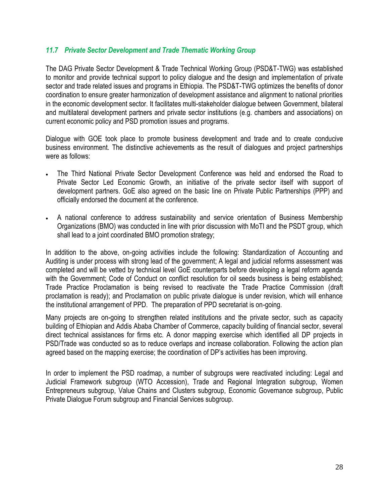#### <span id="page-30-0"></span>*11.7 Private Sector Development and Trade Thematic Working Group*

The DAG Private Sector Development & Trade Technical Working Group (PSD&T-TWG) was established to monitor and provide technical support to policy dialogue and the design and implementation of private sector and trade related issues and programs in Ethiopia. The PSD&T-TWG optimizes the benefits of donor coordination to ensure greater harmonization of development assistance and alignment to national priorities in the economic development sector. It facilitates multi-stakeholder dialogue between Government, bilateral and multilateral development partners and private sector institutions (e.g. chambers and associations) on current economic policy and PSD promotion issues and programs.

Dialogue with GOE took place to promote business development and trade and to create conducive business environment. The distinctive achievements as the result of dialogues and project partnerships were as follows:

- The Third National Private Sector Development Conference was held and endorsed the Road to Private Sector Led Economic Growth, an initiative of the private sector itself with support of development partners. GoE also agreed on the basic line on Private Public Partnerships (PPP) and officially endorsed the document at the conference.
- A national conference to address sustainability and service orientation of Business Membership Organizations (BMO) was conducted in line with prior discussion with MoTI and the PSDT group, which shall lead to a joint coordinated BMO promotion strategy;

In addition to the above, on-going activities include the following: Standardization of Accounting and Auditing is under process with strong lead of the government; A legal and judicial reforms assessment was completed and will be vetted by technical level GoE counterparts before developing a legal reform agenda with the Government; Code of Conduct on conflict resolution for oil seeds business is being established; Trade Practice Proclamation is being revised to reactivate the Trade Practice Commission (draft proclamation is ready); and Proclamation on public private dialogue is under revision, which will enhance the institutional arrangement of PPD. The preparation of PPD secretariat is on-going.

Many projects are on-going to strengthen related institutions and the private sector, such as capacity building of Ethiopian and Addis Ababa Chamber of Commerce, capacity building of financial sector, several direct technical assistances for firms etc. A donor mapping exercise which identified all DP projects in PSD/Trade was conducted so as to reduce overlaps and increase collaboration. Following the action plan agreed based on the mapping exercise; the coordination of DP"s activities has been improving.

In order to implement the PSD roadmap, a number of subgroups were reactivated including: Legal and Judicial Framework subgroup (WTO Accession), Trade and Regional Integration subgroup, Women Entrepreneurs subgroup, Value Chains and Clusters subgroup, Economic Governance subgroup, Public Private Dialogue Forum subgroup and Financial Services subgroup.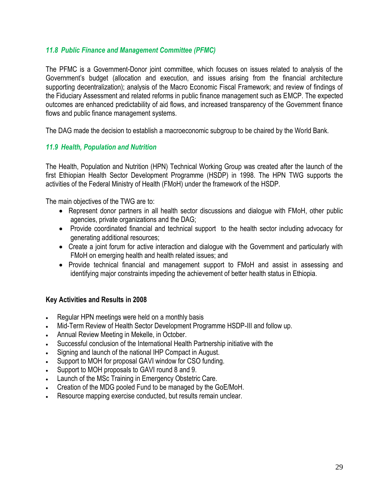#### <span id="page-31-0"></span>*11.8 Public Finance and Management Committee (PFMC)*

The PFMC is a Government-Donor joint committee, which focuses on issues related to analysis of the Government"s budget (allocation and execution, and issues arising from the financial architecture supporting decentralization); analysis of the Macro Economic Fiscal Framework; and review of findings of the Fiduciary Assessment and related reforms in public finance management such as EMCP. The expected outcomes are enhanced predictability of aid flows, and increased transparency of the Government finance flows and public finance management systems.

The DAG made the decision to establish a macroeconomic subgroup to be chaired by the World Bank.

#### <span id="page-31-1"></span>*11.9 Health, Population and Nutrition*

The Health, Population and Nutrition (HPN) Technical Working Group was created after the launch of the first Ethiopian Health Sector Development Programme (HSDP) in 1998. The HPN TWG supports the activities of the Federal Ministry of Health (FMoH) under the framework of the HSDP.

The main objectives of the TWG are to:

- Represent donor partners in all health sector discussions and dialogue with FMoH, other public agencies, private organizations and the DAG;
- Provide coordinated financial and technical support to the health sector including advocacy for generating additional resources;
- Create a joint forum for active interaction and dialogue with the Government and particularly with FMoH on emerging health and health related issues; and
- Provide technical financial and management support to FMoH and assist in assessing and identifying major constraints impeding the achievement of better health status in Ethiopia.

#### **Key Activities and Results in 2008**

- Regular HPN meetings were held on a monthly basis
- Mid-Term Review of Health Sector Development Programme HSDP-III and follow up.
- Annual Review Meeting in Mekelle, in October.
- Successful conclusion of the International Health Partnership initiative with the
- Signing and launch of the national IHP Compact in August.
- Support to MOH for proposal GAVI window for CSO funding.
- Support to MOH proposals to GAVI round 8 and 9.
- Launch of the MSc Training in Emergency Obstetric Care.
- Creation of the MDG pooled Fund to be managed by the GoE/MoH.
- Resource mapping exercise conducted, but results remain unclear.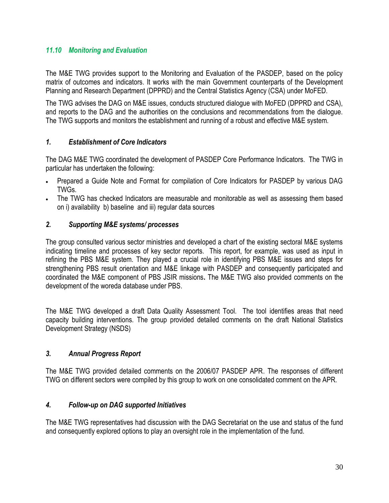#### <span id="page-32-0"></span>*11.10 Monitoring and Evaluation*

The M&E TWG provides support to the Monitoring and Evaluation of the PASDEP, based on the policy matrix of outcomes and indicators. It works with the main Government counterparts of the Development Planning and Research Department (DPPRD) and the Central Statistics Agency (CSA) under MoFED.

The TWG advises the DAG on M&E issues, conducts structured dialogue with MoFED (DPPRD and CSA), and reports to the DAG and the authorities on the conclusions and recommendations from the dialogue. The TWG supports and monitors the establishment and running of a robust and effective M&E system.

#### *1. Establishment of Core Indicators*

The DAG M&E TWG coordinated the development of PASDEP Core Performance Indicators. The TWG in particular has undertaken the following:

- Prepared a Guide Note and Format for compilation of Core Indicators for PASDEP by various DAG TWGs.
- The TWG has checked Indicators are measurable and monitorable as well as assessing them based on i) availability b) baseline and iii) regular data sources

#### *2. Supporting M&E systems/ processes*

The group consulted various sector ministries and developed a chart of the existing sectoral M&E systems indicating timeline and processes of key sector reports. This report, for example, was used as input in refining the PBS M&E system. They played a crucial role in identifying PBS M&E issues and steps for strengthening PBS result orientation and M&E linkage with PASDEP and consequently participated and coordinated the M&E component of PBS JSIR missions**.** The M&E TWG also provided comments on the development of the woreda database under PBS.

The M&E TWG developed a draft Data Quality Assessment Tool. The tool identifies areas that need capacity building interventions. The group provided detailed comments on the draft National Statistics Development Strategy (NSDS)

#### *3. Annual Progress Report*

The M&E TWG provided detailed comments on the 2006/07 PASDEP APR. The responses of different TWG on different sectors were compiled by this group to work on one consolidated comment on the APR.

#### *4. Follow-up on DAG supported Initiatives*

The M&E TWG representatives had discussion with the DAG Secretariat on the use and status of the fund and consequently explored options to play an oversight role in the implementation of the fund.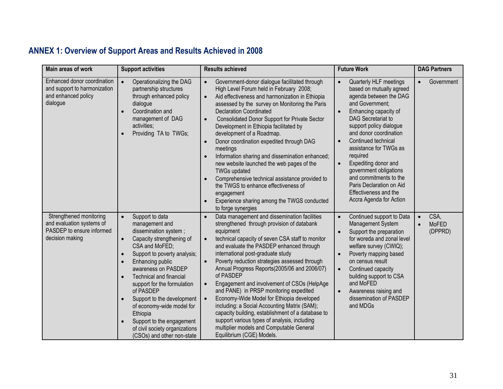# **ANNEX 1: Overview of Support Areas and Results Achieved in 2008**

<span id="page-33-0"></span>

| Main areas of work                                                                                   | <b>Support activities</b>                                                                                                                                                                                                                                                                                                                                                                                                                                                                               | <b>Results achieved</b>                                                                                                                                                                                                                                                                                                                                                                                                                                                                                                                                                                                                                                                                                                                                    | <b>Future Work</b>                                                                                                                                                                                                                                                                                                                                                                                                           | <b>DAG Partners</b>                   |
|------------------------------------------------------------------------------------------------------|---------------------------------------------------------------------------------------------------------------------------------------------------------------------------------------------------------------------------------------------------------------------------------------------------------------------------------------------------------------------------------------------------------------------------------------------------------------------------------------------------------|------------------------------------------------------------------------------------------------------------------------------------------------------------------------------------------------------------------------------------------------------------------------------------------------------------------------------------------------------------------------------------------------------------------------------------------------------------------------------------------------------------------------------------------------------------------------------------------------------------------------------------------------------------------------------------------------------------------------------------------------------------|------------------------------------------------------------------------------------------------------------------------------------------------------------------------------------------------------------------------------------------------------------------------------------------------------------------------------------------------------------------------------------------------------------------------------|---------------------------------------|
| Enhanced donor coordination<br>and support to harmonization<br>and enhanced policy<br>dialogue       | $\bullet$<br>Operationalizing the DAG<br>partnership structures<br>through enhanced policy<br>dialogue<br>Coordination and<br>management of DAG<br>activities;<br>Providing TA to TWGs;                                                                                                                                                                                                                                                                                                                 | Government-donor dialogue facilitated through<br>$\bullet$<br>High Level Forum held in February 2008;<br>Aid effectiveness and harmonization in Ethiopia<br>$\bullet$<br>assessed by the survey on Monitoring the Paris<br><b>Declaration Coordinated</b><br>Consolidated Donor Support for Private Sector<br>$\bullet$<br>Development in Ethiopia facilitated by<br>development of a Roadmap.<br>Donor coordination expedited through DAG<br>meetings<br>Information sharing and dissemination enhanced;<br>new website launched the web pages of the<br><b>TWGs updated</b><br>Comprehensive technical assistance provided to<br>the TWGS to enhance effectiveness of<br>engagement<br>Experience sharing among the TWGS conducted<br>to forge synergies | Quarterly HLF meetings<br>based on mutually agreed<br>agenda between the DAG<br>and Government;<br>Enhancing capacity of<br>DAG Secretariat to<br>support policy dialogue<br>and donor coordination<br>Continued technical<br>assistance for TWGs as<br>required<br>Expediting donor and<br>government obligations<br>and commitments to the<br>Paris Declaration on Aid<br>Effectiveness and the<br>Accra Agenda for Action | Government<br>$\bullet$               |
| Strengthened monitoring<br>and evaluation systems of<br>PASDEP to ensure informed<br>decision making | Support to data<br>$\bullet$<br>management and<br>dissemination system;<br>Capacity strengthening of<br>$\bullet$<br>CSA and MoFED;<br>Support to poverty analysis;<br>$\bullet$<br>Enhancing public<br>$\bullet$<br>awareness on PASDEP<br><b>Technical and financial</b><br>$\bullet$<br>support for the formulation<br>of PASDEP<br>Support to the development<br>of economy-wide model for<br>Ethiopia<br>Support to the engagement<br>of civil society organizations<br>(CSOs) and other non-state | Data management and dissemination facilities<br>strengthened through provision of databank<br>equipment<br>technical capacity of seven CSA staff to monitor<br>$\bullet$<br>and evaluate the PASDEP enhanced through<br>international post-graduate study<br>Poverty reduction strategies assessed through<br>Annual Progress Reports(2005/06 and 2006/07)<br>of PASDEP<br>Engagement and involvement of CSOs (HelpAge<br>$\bullet$<br>and PANE) in PRSP monitoring expedited<br>Economy-Wide Model for Ethiopia developed<br>including: a Social Accounting Matrix (SAM);<br>capacity building, establishment of a database to<br>support various types of analysis, including<br>multiplier models and Computable General<br>Equilibrium (CGE) Models.   | Continued support to Data<br>Management System<br>Support the preparation<br>for woreda and zonal level<br>welfare survey (CWIQ);<br>Poverty mapping based<br>$\bullet$<br>on census result<br>Continued capacity<br>$\bullet$<br>building support to CSA<br>and MoFED<br>Awareness raising and<br>dissemination of PASDEP<br>and MDGs                                                                                       | CSA,<br>$\bullet$<br>MoFED<br>(DPPRD) |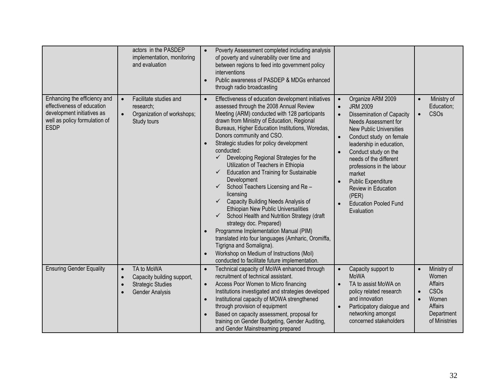|                                                                                                                                          | actors in the PASDEP<br>implementation, monitoring<br>and evaluation                                                     | Poverty Assessment completed including analysis<br>$\bullet$<br>of poverty and vulnerability over time and<br>between regions to feed into government policy<br>interventions<br>Public awareness of PASDEP & MDGs enhanced<br>through radio broadcasting                                                                                                                                                                                                                                                                                                                                                                                                                                                                                                                                                                                                                                                                                                                                                                                                                                                                                                                                                                                                                                                                                                                                                 |                                                                                                         |
|------------------------------------------------------------------------------------------------------------------------------------------|--------------------------------------------------------------------------------------------------------------------------|-----------------------------------------------------------------------------------------------------------------------------------------------------------------------------------------------------------------------------------------------------------------------------------------------------------------------------------------------------------------------------------------------------------------------------------------------------------------------------------------------------------------------------------------------------------------------------------------------------------------------------------------------------------------------------------------------------------------------------------------------------------------------------------------------------------------------------------------------------------------------------------------------------------------------------------------------------------------------------------------------------------------------------------------------------------------------------------------------------------------------------------------------------------------------------------------------------------------------------------------------------------------------------------------------------------------------------------------------------------------------------------------------------------|---------------------------------------------------------------------------------------------------------|
| Enhancing the efficiency and<br>effectiveness of education<br>development initiatives as<br>well as policy formulation of<br><b>ESDP</b> | Facilitate studies and<br>$\bullet$<br>research:<br>Organization of workshops;<br>$\bullet$<br>Study tours               | Organize ARM 2009<br>Effectiveness of education development initiatives<br>$\bullet$<br>assessed through the 2008 Annual Review<br><b>JRM 2009</b><br>$\bullet$<br>Meeting (ARM) conducted with 128 participants<br>Dissemination of Capacity<br>drawn from Ministry of Education, Regional<br>Needs Assessment for<br>Bureaus, Higher Education Institutions, Woredas,<br><b>New Public Universities</b><br>Donors community and CSO.<br>Conduct study on female<br>$\bullet$<br>Strategic studies for policy development<br>leadership in education,<br>conducted:<br>Conduct study on the<br>Developing Regional Strategies for the<br>$\checkmark$<br>needs of the different<br>Utilization of Teachers in Ethiopia<br>professions in the labour<br><b>Education and Training for Sustainable</b><br>$\checkmark$<br>market<br>Development<br>Public Expenditure<br>School Teachers Licensing and Re-<br><b>Review in Education</b><br>licensing<br>(PER)<br>Capacity Building Needs Analysis of<br><b>Education Pooled Fund</b><br>$\bullet$<br>Ethiopian New Public Universalities<br>Evaluation<br>School Health and Nutrition Strategy (draft<br>strategy doc. Prepared)<br>Programme Implementation Manual (PIM)<br>translated into four languages (Amharic, Oromiffa,<br>Tigrigna and Somaligna).<br>Workshop on Medium of Instructions (Mol)<br>conducted to facilitate future implementation. | Ministry of<br>Education;<br><b>CSOs</b>                                                                |
| <b>Ensuring Gender Equality</b>                                                                                                          | TA to MoWA<br>$\bullet$<br>Capacity building support,<br>$\bullet$<br><b>Strategic Studies</b><br><b>Gender Analysis</b> | Technical capacity of MoWA enhanced through<br>Capacity support to<br>$\bullet$<br>$\bullet$<br><b>MoWA</b><br>recruitment of technical assistant.<br>Access Poor Women to Micro financing<br>TA to assist MoWA on<br>$\bullet$<br>Institutions investigated and strategies developed<br>policy related research<br>and innovation<br>Institutional capacity of MOWA strengthened<br>through provision of equipment<br>Participatory dialogue and<br>networking amongst<br>Based on capacity assessment, proposal for<br>concerned stakeholders<br>training on Gender Budgeting, Gender Auditing,<br>and Gender Mainstreaming prepared                                                                                                                                                                                                                                                                                                                                                                                                                                                                                                                                                                                                                                                                                                                                                                    | Ministry of<br>$\bullet$<br>Women<br>Affairs<br>CSOs<br>Women<br>Affairs<br>Department<br>of Ministries |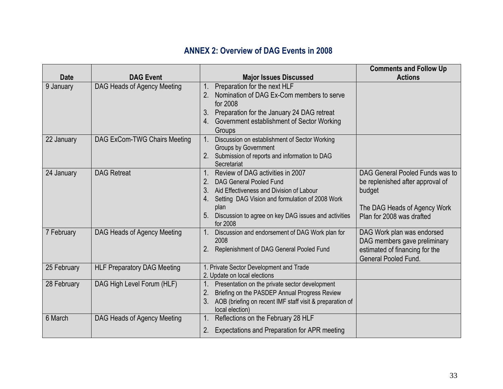# **ANNEX 2: Overview of DAG Events in 2008**

<span id="page-35-0"></span>

|             |                                    |                                                                                                                                                                                                                                                                                   | <b>Comments and Follow Up</b>                                                                                                              |
|-------------|------------------------------------|-----------------------------------------------------------------------------------------------------------------------------------------------------------------------------------------------------------------------------------------------------------------------------------|--------------------------------------------------------------------------------------------------------------------------------------------|
| <b>Date</b> | <b>DAG Event</b>                   | <b>Major Issues Discussed</b>                                                                                                                                                                                                                                                     | <b>Actions</b>                                                                                                                             |
| 9 January   | DAG Heads of Agency Meeting        | Preparation for the next HLF<br>Nomination of DAG Ex-Com members to serve<br>2.<br>for 2008<br>Preparation for the January 24 DAG retreat<br>3.<br>Government establishment of Sector Working<br>4.<br>Groups                                                                     |                                                                                                                                            |
| 22 January  | DAG ExCom-TWG Chairs Meeting       | Discussion on establishment of Sector Working<br><b>Groups by Government</b><br>2. Submission of reports and information to DAG<br>Secretariat                                                                                                                                    |                                                                                                                                            |
| 24 January  | <b>DAG Retreat</b>                 | Review of DAG activities in 2007<br>2.<br><b>DAG General Pooled Fund</b><br>3.<br>Aid Effectiveness and Division of Labour<br>Setting DAG Vision and formulation of 2008 Work<br>4.<br>plan<br>Discussion to agree on key DAG issues and activities<br>5 <sub>1</sub><br>for 2008 | DAG General Pooled Funds was to<br>be replenished after approval of<br>budget<br>The DAG Heads of Agency Work<br>Plan for 2008 was drafted |
| 7 February  | DAG Heads of Agency Meeting        | Discussion and endorsement of DAG Work plan for<br>2008<br>Replenishment of DAG General Pooled Fund                                                                                                                                                                               | DAG Work plan was endorsed<br>DAG members gave preliminary<br>estimated of financing for the<br><b>General Pooled Fund.</b>                |
| 25 February | <b>HLF Preparatory DAG Meeting</b> | 1. Private Sector Development and Trade<br>2. Update on local elections                                                                                                                                                                                                           |                                                                                                                                            |
| 28 February | DAG High Level Forum (HLF)         | 1.<br>Presentation on the private sector development<br>Briefing on the PASDEP Annual Progress Review<br>2.<br>3 <sub>1</sub><br>AOB (briefing on recent IMF staff visit & preparation of<br>local election)                                                                      |                                                                                                                                            |
| 6 March     | DAG Heads of Agency Meeting        | Reflections on the February 28 HLF<br>Expectations and Preparation for APR meeting<br>2.                                                                                                                                                                                          |                                                                                                                                            |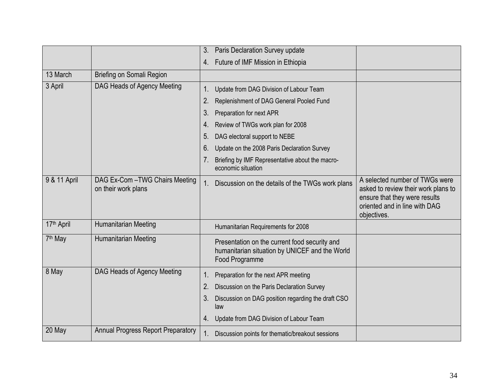|                     |                                                      | 3.<br>Paris Declaration Survey update                                                                             |                                                                                                                                                        |
|---------------------|------------------------------------------------------|-------------------------------------------------------------------------------------------------------------------|--------------------------------------------------------------------------------------------------------------------------------------------------------|
|                     |                                                      | Future of IMF Mission in Ethiopia<br>4.                                                                           |                                                                                                                                                        |
| 13 March            | Briefing on Somali Region                            |                                                                                                                   |                                                                                                                                                        |
| 3 April             | DAG Heads of Agency Meeting                          | 1.<br>Update from DAG Division of Labour Team                                                                     |                                                                                                                                                        |
|                     |                                                      | 2.<br>Replenishment of DAG General Pooled Fund                                                                    |                                                                                                                                                        |
|                     |                                                      | 3.<br>Preparation for next APR                                                                                    |                                                                                                                                                        |
|                     |                                                      | Review of TWGs work plan for 2008<br>4.                                                                           |                                                                                                                                                        |
|                     |                                                      | DAG electoral support to NEBE<br>5.                                                                               |                                                                                                                                                        |
|                     |                                                      | 6.<br>Update on the 2008 Paris Declaration Survey                                                                 |                                                                                                                                                        |
|                     |                                                      | Briefing by IMF Representative about the macro-<br>economic situation                                             |                                                                                                                                                        |
| 9 & 11 April        | DAG Ex-Com-TWG Chairs Meeting<br>on their work plans | Discussion on the details of the TWGs work plans                                                                  | A selected number of TWGs were<br>asked to review their work plans to<br>ensure that they were results<br>oriented and in line with DAG<br>objectives. |
| 17th April          | Humanitarian Meeting                                 | Humanitarian Requirements for 2008                                                                                |                                                                                                                                                        |
| 7 <sup>th</sup> May | <b>Humanitarian Meeting</b>                          | Presentation on the current food security and<br>humanitarian situation by UNICEF and the World<br>Food Programme |                                                                                                                                                        |
| 8 May               | DAG Heads of Agency Meeting                          | Preparation for the next APR meeting<br>1.                                                                        |                                                                                                                                                        |
|                     |                                                      | 2.<br>Discussion on the Paris Declaration Survey                                                                  |                                                                                                                                                        |
|                     |                                                      | Discussion on DAG position regarding the draft CSO<br>3.<br>law                                                   |                                                                                                                                                        |
|                     |                                                      | Update from DAG Division of Labour Team<br>4.                                                                     |                                                                                                                                                        |
| 20 May              | <b>Annual Progress Report Preparatory</b>            | Discussion points for thematic/breakout sessions                                                                  |                                                                                                                                                        |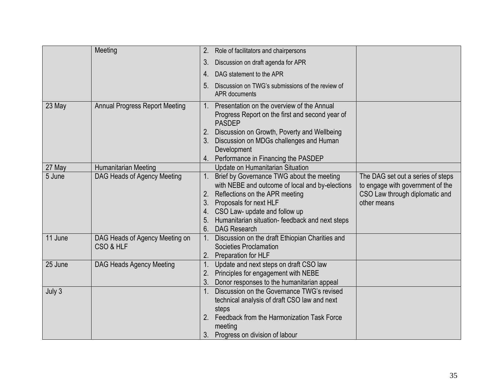|         | Meeting                                     | 2.<br>Role of facilitators and chairpersons                                                                                                                                                                                                                                                       |                                                                                                                        |
|---------|---------------------------------------------|---------------------------------------------------------------------------------------------------------------------------------------------------------------------------------------------------------------------------------------------------------------------------------------------------|------------------------------------------------------------------------------------------------------------------------|
|         |                                             | 3.<br>Discussion on draft agenda for APR                                                                                                                                                                                                                                                          |                                                                                                                        |
|         |                                             | DAG statement to the APR<br>4.                                                                                                                                                                                                                                                                    |                                                                                                                        |
|         |                                             | 5 <sub>1</sub><br>Discussion on TWG's submissions of the review of<br><b>APR</b> documents                                                                                                                                                                                                        |                                                                                                                        |
| 23 May  | <b>Annual Progress Report Meeting</b>       | Presentation on the overview of the Annual<br>$1_{\cdot}$<br>Progress Report on the first and second year of<br><b>PASDEP</b><br>Discussion on Growth, Poverty and Wellbeing                                                                                                                      |                                                                                                                        |
|         |                                             | 3.<br>Discussion on MDGs challenges and Human<br>Development                                                                                                                                                                                                                                      |                                                                                                                        |
|         |                                             | Performance in Financing the PASDEP                                                                                                                                                                                                                                                               |                                                                                                                        |
| 27 May  | Humanitarian Meeting                        | Update on Humanitarian Situation                                                                                                                                                                                                                                                                  |                                                                                                                        |
| 5 June  | DAG Heads of Agency Meeting                 | Brief by Governance TWG about the meeting<br>with NEBE and outcome of local and by-elections<br>2.<br>Reflections on the APR meeting<br>Proposals for next HLF<br>3.<br>CSO Law- update and follow up<br>4.<br>Humanitarian situation- feedback and next steps<br>5.<br><b>DAG Research</b><br>6. | The DAG set out a series of steps<br>to engage with government of the<br>CSO Law through diplomatic and<br>other means |
| 11 June | DAG Heads of Agency Meeting on<br>CSO & HLF | Discussion on the draft Ethiopian Charities and<br>Societies Proclamation<br>Preparation for HLF<br>2.                                                                                                                                                                                            |                                                                                                                        |
| 25 June | DAG Heads Agency Meeting                    | 1.<br>Update and next steps on draft CSO law<br>Principles for engagement with NEBE<br>2.<br>3.<br>Donor responses to the humanitarian appeal                                                                                                                                                     |                                                                                                                        |
| July 3  |                                             | Discussion on the Governance TWG's revised<br>technical analysis of draft CSO law and next<br>steps<br>Feedback from the Harmonization Task Force<br>2.<br>meeting<br>Progress on division of labour<br>3.                                                                                        |                                                                                                                        |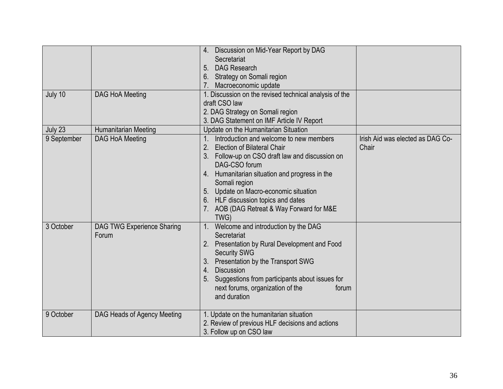| July 10                | DAG HoA Meeting                                       | 4. Discussion on Mid-Year Report by DAG<br>Secretariat<br><b>DAG Research</b><br>5.<br>Strategy on Somali region<br>6.<br>Macroeconomic update<br>1. Discussion on the revised technical analysis of the<br>draft CSO law<br>2. DAG Strategy on Somali region                                                                                                                                         |                                           |
|------------------------|-------------------------------------------------------|-------------------------------------------------------------------------------------------------------------------------------------------------------------------------------------------------------------------------------------------------------------------------------------------------------------------------------------------------------------------------------------------------------|-------------------------------------------|
|                        |                                                       | 3. DAG Statement on IMF Article IV Report                                                                                                                                                                                                                                                                                                                                                             |                                           |
| July 23<br>9 September | <b>Humanitarian Meeting</b><br><b>DAG HoA Meeting</b> | Update on the Humanitarian Situation<br>Introduction and welcome to new members<br>2.<br><b>Election of Bilateral Chair</b><br>Follow-up on CSO draft law and discussion on<br>3.<br>DAG-CSO forum<br>4. Humanitarian situation and progress in the<br>Somali region<br>5. Update on Macro-economic situation<br>6. HLF discussion topics and dates<br>AOB (DAG Retreat & Way Forward for M&E<br>TWG) | Irish Aid was elected as DAG Co-<br>Chair |
| 3 October              | DAG TWG Experience Sharing<br>Forum                   | Welcome and introduction by the DAG<br>Secretariat<br>Presentation by Rural Development and Food<br>2.<br><b>Security SWG</b><br>Presentation by the Transport SWG<br>3 <sub>1</sub><br><b>Discussion</b><br>4.<br>Suggestions from participants about issues for<br>5.<br>next forums, organization of the<br>forum<br>and duration                                                                  |                                           |
| 9 October              | DAG Heads of Agency Meeting                           | 1. Update on the humanitarian situation<br>2. Review of previous HLF decisions and actions<br>3. Follow up on CSO law                                                                                                                                                                                                                                                                                 |                                           |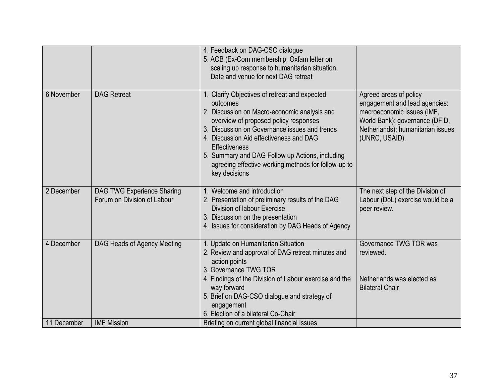|             |                                                                  | 4. Feedback on DAG-CSO dialogue<br>5. AOB (Ex-Com membership, Oxfam letter on<br>scaling up response to humanitarian situation,<br>Date and venue for next DAG retreat                                                                                                                                                                                                                            |                                                                                                                                                                                |
|-------------|------------------------------------------------------------------|---------------------------------------------------------------------------------------------------------------------------------------------------------------------------------------------------------------------------------------------------------------------------------------------------------------------------------------------------------------------------------------------------|--------------------------------------------------------------------------------------------------------------------------------------------------------------------------------|
| 6 November  | <b>DAG Retreat</b>                                               | 1. Clarify Objectives of retreat and expected<br>outcomes<br>2. Discussion on Macro-economic analysis and<br>overview of proposed policy responses<br>3. Discussion on Governance issues and trends<br>4. Discussion Aid effectiveness and DAG<br><b>Effectiveness</b><br>5. Summary and DAG Follow up Actions, including<br>agreeing effective working methods for follow-up to<br>key decisions | Agreed areas of policy<br>engagement and lead agencies:<br>macroeconomic issues (IMF,<br>World Bank); governance (DFID,<br>Netherlands); humanitarian issues<br>(UNRC, USAID). |
| 2 December  | <b>DAG TWG Experience Sharing</b><br>Forum on Division of Labour | 1. Welcome and introduction<br>2. Presentation of preliminary results of the DAG<br>Division of labour Exercise<br>3. Discussion on the presentation<br>4. Issues for consideration by DAG Heads of Agency                                                                                                                                                                                        | The next step of the Division of<br>Labour (DoL) exercise would be a<br>peer review.                                                                                           |
| 4 December  | DAG Heads of Agency Meeting                                      | 1. Update on Humanitarian Situation<br>2. Review and approval of DAG retreat minutes and<br>action points<br>3. Governance TWG TOR<br>4. Findings of the Division of Labour exercise and the<br>way forward<br>5. Brief on DAG-CSO dialogue and strategy of<br>engagement<br>6. Election of a bilateral Co-Chair                                                                                  | Governance TWG TOR was<br>reviewed.<br>Netherlands was elected as<br><b>Bilateral Chair</b>                                                                                    |
| 11 December | <b>IMF Mission</b>                                               | Briefing on current global financial issues                                                                                                                                                                                                                                                                                                                                                       |                                                                                                                                                                                |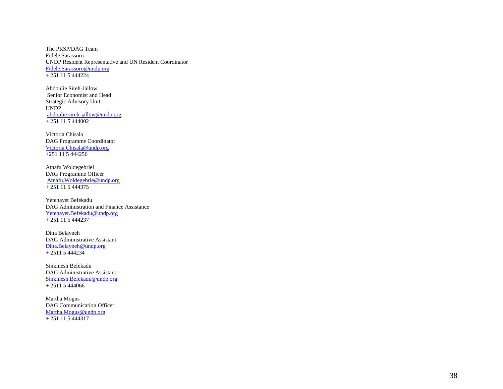The PRSP/DAG Team Fidele Sarassoro UNDP Resident Representative and UN Resident Coordinator [Fidele.Sarassoro@undp.org](mailto:Fidele.Sarassoro@undp.org)  + 251 11 5 444224

Abdoulie Sireh -Jallow Senior Economist and Head Strategic Advisory Unit UNDP abdoulie.sireh [-jallow@undp.org](mailto:abdoulie.sireh-jallow@undp.org)  + 251 11 5 444002

Victoria Chisala DAG Programme Coordinator [Victoria.Chisala@undp.org](mailto:Victoria.Chisala@undp.org)  +251 11 5 444256

Atnafu Woldegebriel DAG Programme Officer [Atnafu.Woldegebrie@undp.org](mailto:Atnafu.Woldegebrie@undp.org)  + 251 11 5 444375

Yetenayet Befekadu DAG Administration and Finance Assistance [Yetenayet.Befekadu@undp.org](mailto:Yetenayet.Befekadu@undp.org) + 251 11 5 444237

Dina Belayneh DAG Administrative Assistant [Dina.Belayneh@undp.org](mailto:Dina.Belayneh@undp.org)   $+ 2511 5 444234$ 

Sinkinesh Befekadu DAG Administrative Assistant<br>[Sinkinesh.Befekadu@undp.org](mailto:Sinkinesh.Befekadu@undp.org) + 2511 5 444066

Martha Mogus DAG Communication Officer [Martha.Mogus@undp.org](mailto:Martha.Mogus@undp.org) + 251 11 5 444317